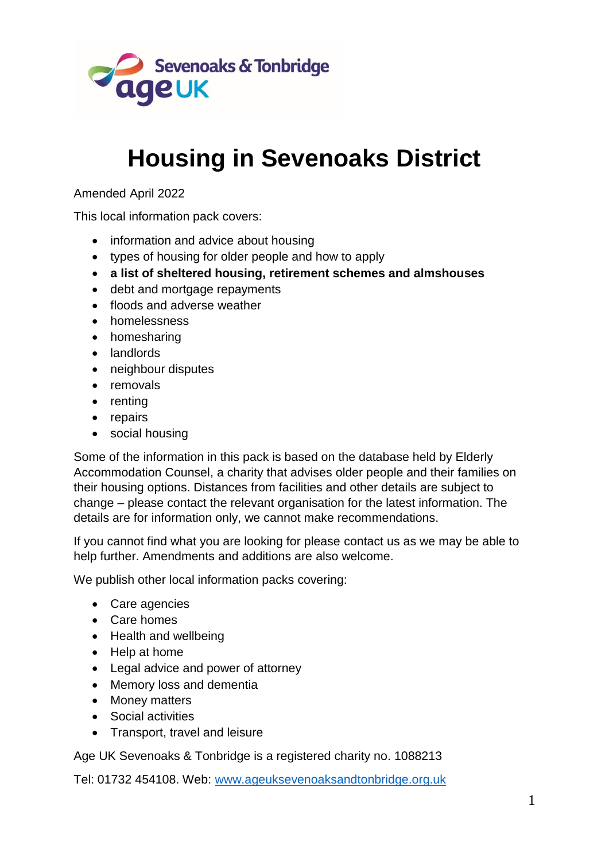

# **Housing in Sevenoaks District**

### Amended April 2022

This local information pack covers:

- information and advice about housing
- types of housing for older people and how to apply
- **a list of sheltered housing, retirement schemes and almshouses**
- debt and mortgage repayments
- floods and adverse weather
- **•** homelessness
- homesharing
- landlords
- neighbour disputes
- removals
- renting
- repairs
- social housing

Some of the information in this pack is based on the database held by Elderly Accommodation Counsel, a charity that advises older people and their families on their housing options. Distances from facilities and other details are subject to change – please contact the relevant organisation for the latest information. The details are for information only, we cannot make recommendations.

If you cannot find what you are looking for please contact us as we may be able to help further. Amendments and additions are also welcome.

We publish other local information packs covering:

- Care agencies
- Care homes
- Health and wellbeing
- Help at home
- Legal advice and power of attorney
- Memory loss and dementia
- Money matters
- Social activities
- Transport, travel and leisure

Age UK Sevenoaks & Tonbridge is a registered charity no. 1088213

Tel: 01732 454108. Web: [www.ageuksevenoaksandtonbridge.org.uk](http://www.ageuksevenoaksandtonbridge.org.uk/)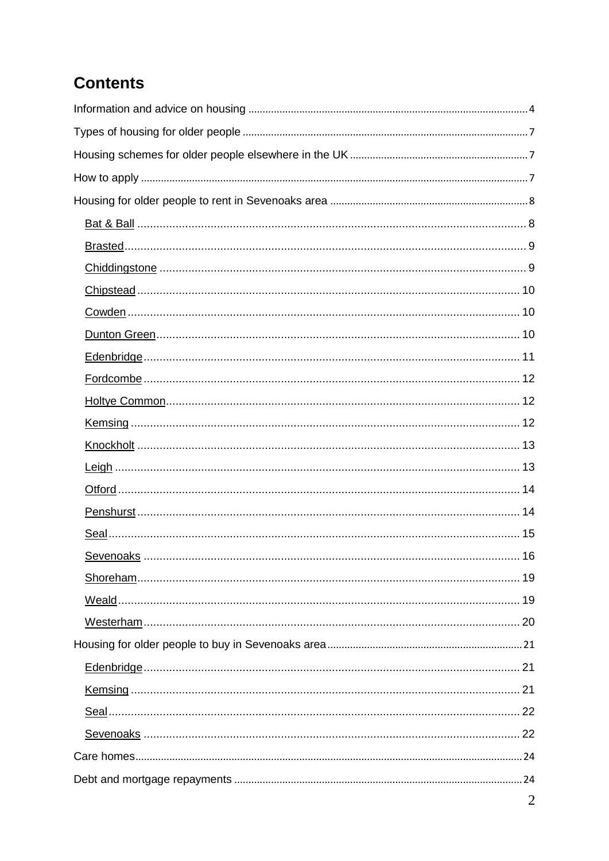## **Contents**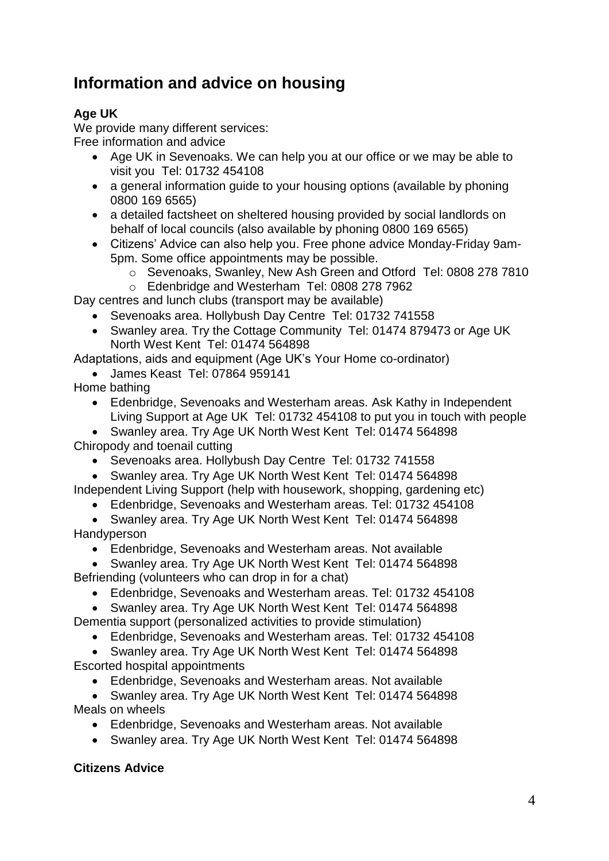## **Information and advice on housing**

## **Age UK**

We provide many different services: Free information and advice

- Age UK in Sevenoaks. We can help you at our office or we may be able to visit you Tel: 01732 454108
- a general information quide to your housing options (available by phoning 0800 169 6565)
- a detailed factsheet on sheltered housing provided by social landlords on behalf of local councils (also available by phoning 0800 169 6565)
- Citizens' Advice can also help you. Free phone advice Monday-Friday 9am-5pm. Some office appointments may be possible.
	- o Sevenoaks, Swanley, New Ash Green and Otford Tel: 0808 278 7810
- o Edenbridge and Westerham Tel: 0808 278 7962

Day centres and lunch clubs (transport may be available)

- Sevenoaks area. Hollybush Day Centre Tel: 01732 741558
- Swanley area. Try the Cottage Community Tel: 01474 879473 or Age UK North West Kent Tel: 01474 564898

Adaptations, aids and equipment (Age UK's Your Home co-ordinator)

- James Keast Tel: 07864 959141
- Home bathing
	- Edenbridge, Sevenoaks and Westerham areas. Ask Kathy in Independent Living Support at Age UK Tel: 01732 454108 to put you in touch with people

 Swanley area. Try Age UK North West Kent Tel: 01474 564898 Chiropody and toenail cutting

- Sevenoaks area. Hollybush Day Centre Tel: 01732 741558
- Swanley area. Try Age UK North West Kent Tel: 01474 564898 Independent Living Support (help with housework, shopping, gardening etc)
	- Edenbridge, Sevenoaks and Westerham areas. Tel: 01732 454108
- Swanley area. Try Age UK North West Kent Tel: 01474 564898 **Handyperson** 
	- Edenbridge, Sevenoaks and Westerham areas. Not available

 Swanley area. Try Age UK North West Kent Tel: 01474 564898 Befriending (volunteers who can drop in for a chat)

- Edenbridge, Sevenoaks and Westerham areas. Tel: 01732 454108
- Swanley area. Try Age UK North West Kent Tel: 01474 564898

Dementia support (personalized activities to provide stimulation)

Edenbridge, Sevenoaks and Westerham areas. Tel: 01732 454108

 Swanley area. Try Age UK North West Kent Tel: 01474 564898 Escorted hospital appointments

Edenbridge, Sevenoaks and Westerham areas. Not available

 Swanley area. Try Age UK North West Kent Tel: 01474 564898 Meals on wheels

- Edenbridge, Sevenoaks and Westerham areas. Not available
- Swanley area. Try Age UK North West Kent Tel: 01474 564898

## **Citizens Advice**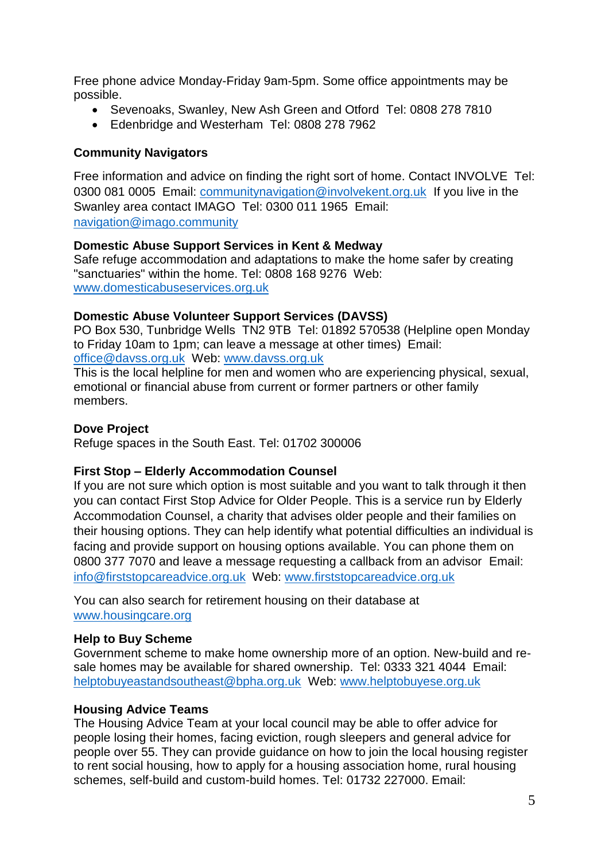Free phone advice Monday-Friday 9am-5pm. Some office appointments may be possible.

- Sevenoaks, Swanley, New Ash Green and Otford Tel: 0808 278 7810
- Edenbridge and Westerham Tel: 0808 278 7962

### **Community Navigators**

Free information and advice on finding the right sort of home. Contact INVOLVE Tel: 0300 081 0005 Email: communitynavigation@involvekent.org.uk If you live in the Swanley area contact IMAGO Tel: 0300 011 1965 Email: navigation@imago.community

### **Domestic Abuse Support Services in Kent & Medway**

Safe refuge accommodation and adaptations to make the home safer by creating "sanctuaries" within the home. Tel: 0808 168 9276 Web: www.domesticabuseservices.org.uk

### **Domestic Abuse Volunteer Support Services (DAVSS)**

PO Box 530, Tunbridge Wells TN2 9TB Tel: 01892 570538 (Helpline open Monday to Friday 10am to 1pm; can leave a message at other times) Email: office@davss.org.uk Web: www.davss.org.uk

This is the local helpline for men and women who are experiencing physical, sexual, emotional or financial abuse from current or former partners or other family members.

### **Dove Project**

Refuge spaces in the South East. Tel: 01702 300006

### **First Stop – Elderly Accommodation Counsel**

If you are not sure which option is most suitable and you want to talk through it then you can contact First Stop Advice for Older People. This is a service run by Elderly Accommodation Counsel, a charity that advises older people and their families on their housing options. They can help identify what potential difficulties an individual is facing and provide support on housing options available. You can phone them on 0800 377 7070 and leave a message requesting a callback from an advisor Email: [info@firststopcareadvice.org.uk](mailto:info@firststopadvice.org.uk) Web: [www.firststopcareadvice.org.uk](http://www.housingcare.org.uk/)

You can also search for retirement housing on their database at www.housingcare.org

### **Help to Buy Scheme**

Government scheme to make home ownership more of an option. New-build and resale homes may be available for shared ownership. Tel: 0333 321 4044 Email: helptobuyeastandsoutheast@bpha.org.uk Web: www.helptobuyese.org.uk

### **Housing Advice Teams**

The Housing Advice Team at your local council may be able to offer advice for people losing their homes, facing eviction, rough sleepers and general advice for people over 55. They can provide guidance on how to join the local housing register to rent social housing, how to apply for a housing association home, rural housing schemes, self-build and custom-build homes. Tel: 01732 227000. Email: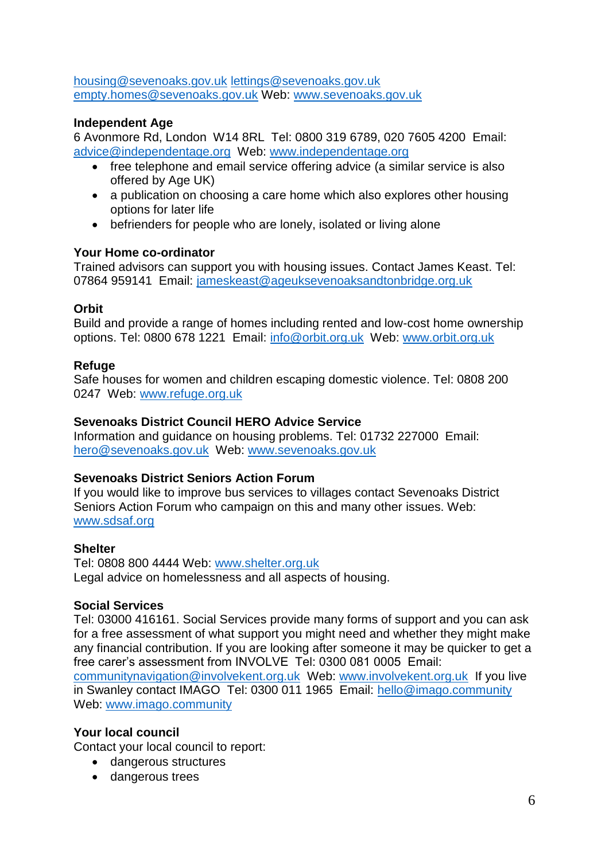[housing@sevenoaks.gov.uk](mailto:housing@sevenoaks.gov.uk) [lettings@sevenoaks.gov.uk](mailto:lettings@sevenoaks.gov.uk) [empty.homes@sevenoaks.gov.uk](mailto:empty.homes@sevenoaks.gov.uk) Web: [www.sevenoaks.gov.uk](http://www.sevenoaks.gov.uk/)

### **Independent Age**

6 Avonmore Rd, London W14 8RL Tel: 0800 319 6789, 020 7605 4200 Email: [advice@independentage.org](mailto:advice@independentage.org) Web: [www.independentage.org](http://www.independentage.org/)

- free telephone and email service offering advice (a similar service is also offered by Age UK)
- a publication on choosing a care home which also explores other housing options for later life
- befrienders for people who are lonely, isolated or living alone

### **Your Home co-ordinator**

Trained advisors can support you with housing issues. Contact James Keast. Tel: 07864 959141 Email: [jameskeast@ageuksevenoaksandtonbridge.org.uk](mailto:jameskeast@ageuksevenoaksandtonbridge.org.uk)

### **Orbit**

Build and provide a range of homes including rented and low-cost home ownership options. Tel: 0800 678 1221 Email: info@orbit.org.uk Web: www.orbit.org.uk

### **Refuge**

Safe houses for women and children escaping domestic violence. Tel: 0808 200 0247 Web: www.refuge.org.uk

### **Sevenoaks District Council HERO Advice Service**

Information and guidance on housing problems. Tel: 01732 227000 Email: [hero@sevenoaks.gov.uk](mailto:hero@sevenoaks.gov.uk) Web: [www.sevenoaks.gov.uk](http://www.sevenoaks.gov.uk/)

### **Sevenoaks District Seniors Action Forum**

If you would like to improve bus services to villages contact Sevenoaks District Seniors Action Forum who campaign on this and many other issues. Web: www.sdsaf.org

### **Shelter**

Tel: 0808 800 4444 Web: [www.shelter.org.uk](http://www.shelter.org.uk/) Legal advice on homelessness and all aspects of housing.

### **Social Services**

Tel: 03000 416161. Social Services provide many forms of support and you can ask for a free assessment of what support you might need and whether they might make any financial contribution. If you are looking after someone it may be quicker to get a free carer's assessment from INVOLVE Tel: 0300 081 0005 Email:

[communitynavigation@involvekent.org.uk](mailto:communitynavigation@involvekent.org.uk) Web: [www.involvekent.org.uk](http://www.involvekent.org.uk/) If you live in Swanley contact IMAGO Tel: 0300 011 1965 Email: [hello@imago.community](mailto:hello@imago.community)  Web: [www.imago.community](http://www.imago.community/)

### **Your local council**

Contact your local council to report:

- dangerous structures
- dangerous trees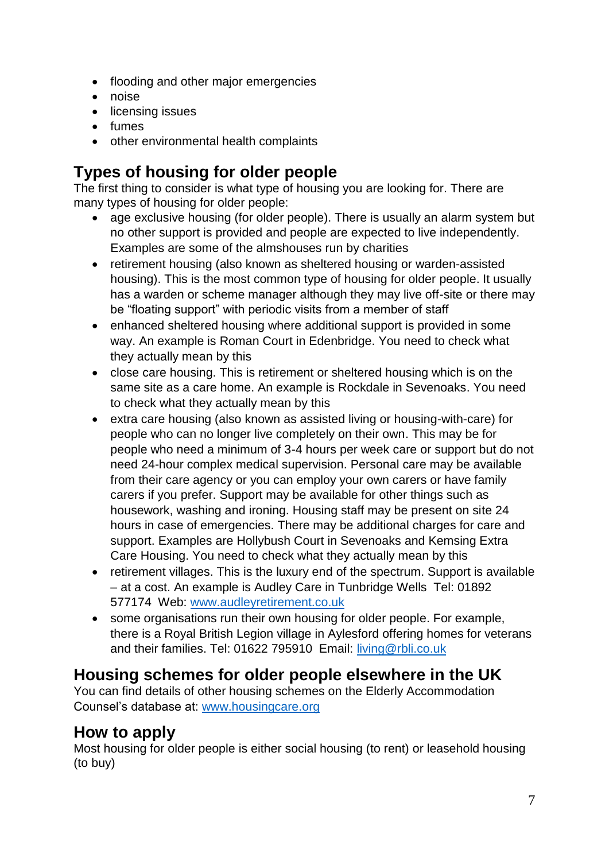- flooding and other major emergencies
- noise
- licensing issues
- fumes
- other environmental health complaints

## **Types of housing for older people**

The first thing to consider is what type of housing you are looking for. There are many types of housing for older people:

- age exclusive housing (for older people). There is usually an alarm system but no other support is provided and people are expected to live independently. Examples are some of the almshouses run by charities
- retirement housing (also known as sheltered housing or warden-assisted housing). This is the most common type of housing for older people. It usually has a warden or scheme manager although they may live off-site or there may be "floating support" with periodic visits from a member of staff
- enhanced sheltered housing where additional support is provided in some way. An example is Roman Court in Edenbridge. You need to check what they actually mean by this
- close care housing. This is retirement or sheltered housing which is on the same site as a care home. An example is Rockdale in Sevenoaks. You need to check what they actually mean by this
- extra care housing (also known as assisted living or housing-with-care) for people who can no longer live completely on their own. This may be for people who need a minimum of 3-4 hours per week care or support but do not need 24-hour complex medical supervision. Personal care may be available from their care agency or you can employ your own carers or have family carers if you prefer. Support may be available for other things such as housework, washing and ironing. Housing staff may be present on site 24 hours in case of emergencies. There may be additional charges for care and support. Examples are Hollybush Court in Sevenoaks and Kemsing Extra Care Housing. You need to check what they actually mean by this
- retirement villages. This is the luxury end of the spectrum. Support is available – at a cost. An example is Audley Care in Tunbridge Wells Tel: 01892 577174 Web: [www.audleyretirement.co.uk](http://www.audleyretirement.co.uk/)
- some organisations run their own housing for older people. For example, there is a Royal British Legion village in Aylesford offering homes for veterans and their families. Tel: 01622 795910 Email: living@rbli.co.uk

## **Housing schemes for older people elsewhere in the UK**

You can find details of other housing schemes on the Elderly Accommodation Counsel's database at: [www.housingcare.org](http://www.housingcare.org/)

## **How to apply**

Most housing for older people is either social housing (to rent) or leasehold housing (to buy)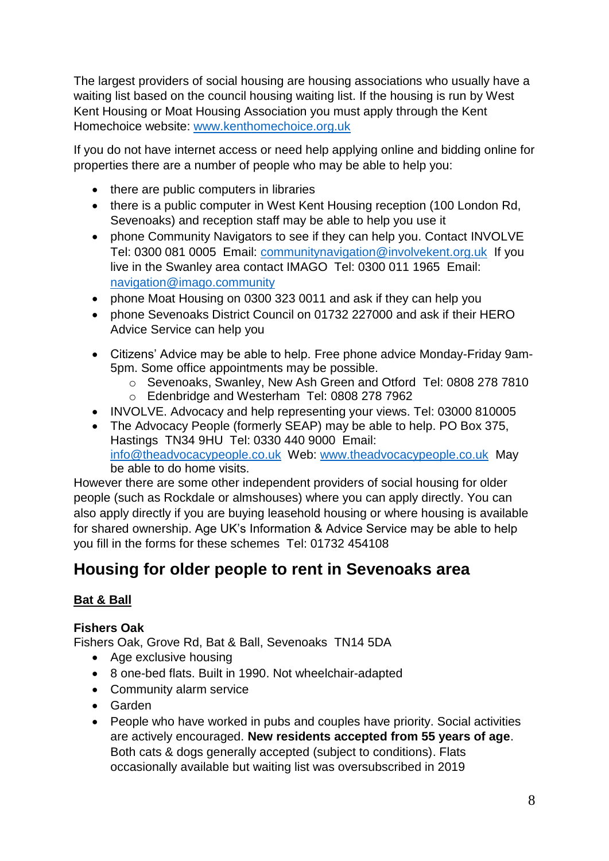The largest providers of social housing are housing associations who usually have a waiting list based on the council housing waiting list. If the housing is run by West Kent Housing or Moat Housing Association you must apply through the Kent Homechoice website: [www.kenthomechoice.org.uk](http://www.kenthomechoice.org.uk/)

If you do not have internet access or need help applying online and bidding online for properties there are a number of people who may be able to help you:

- there are public computers in libraries
- there is a public computer in West Kent Housing reception (100 London Rd, Sevenoaks) and reception staff may be able to help you use it
- phone Community Navigators to see if they can help you. Contact INVOLVE Tel: 0300 081 0005 Email: communitynavigation@involvekent.org.uk If you live in the Swanley area contact IMAGO Tel: 0300 011 1965 Email: navigation@imago.community
- phone Moat Housing on 0300 323 0011 and ask if they can help you
- phone Sevenoaks District Council on 01732 227000 and ask if their HERO Advice Service can help you
- Citizens' Advice may be able to help. Free phone advice Monday-Friday 9am-5pm. Some office appointments may be possible.
	- o Sevenoaks, Swanley, New Ash Green and Otford Tel: 0808 278 7810 o Edenbridge and Westerham Tel: 0808 278 7962
- INVOLVE. Advocacy and help representing your views. Tel: 03000 810005
- The Advocacy People (formerly SEAP) may be able to help. PO Box 375, Hastings TN34 9HU Tel: 0330 440 9000 Email: [info@theadvocacypeople.co.uk](mailto:info@theadvocacypeople.co.uk) Web: [www.theadvocacypeople.co.uk](http://www.theadvocacypeople.co.uk/) May be able to do home visits.

However there are some other independent providers of social housing for older people (such as Rockdale or almshouses) where you can apply directly. You can also apply directly if you are buying leasehold housing or where housing is available for shared ownership. Age UK's Information & Advice Service may be able to help you fill in the forms for these schemes Tel: 01732 454108

## **Housing for older people to rent in Sevenoaks area**

## **Bat & Ball**

## **Fishers Oak**

Fishers Oak, Grove Rd, Bat & Ball, Sevenoaks TN14 5DA

- Age exclusive housing
- 8 one-bed flats. Built in 1990. Not wheelchair-adapted
- Community alarm service
- Garden
- People who have worked in pubs and couples have priority. Social activities are actively encouraged. **New residents accepted from 55 years of age**. Both cats & dogs generally accepted (subject to conditions). Flats occasionally available but waiting list was oversubscribed in 2019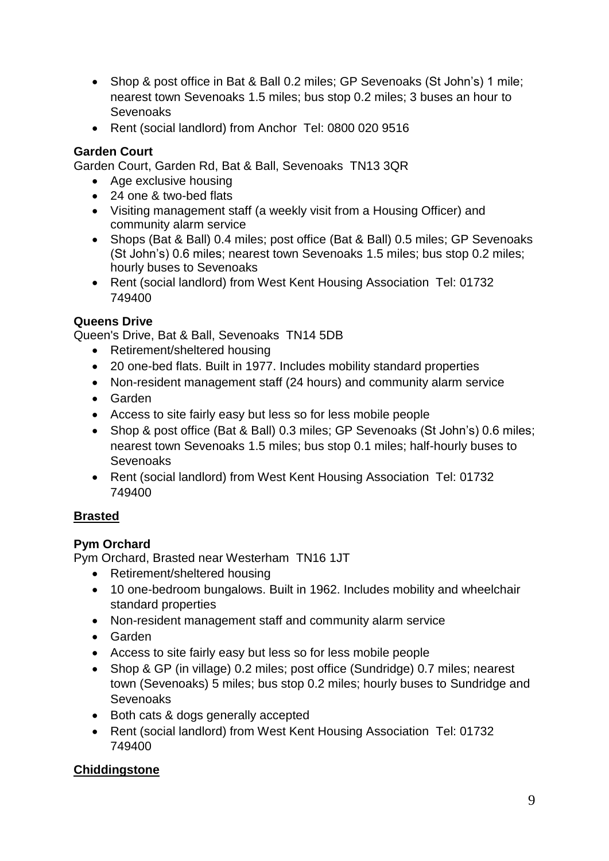- Shop & post office in Bat & Ball 0.2 miles; GP Sevenoaks (St John's) 1 mile; nearest town Sevenoaks 1.5 miles; bus stop 0.2 miles; 3 buses an hour to Sevenoaks
- Rent (social landlord) from Anchor Tel: 0800 020 9516

### **Garden Court**

Garden Court, Garden Rd, Bat & Ball, Sevenoaks TN13 3QR

- Age exclusive housing
- 24 one & two-bed flats
- Visiting management staff (a weekly visit from a Housing Officer) and community alarm service
- Shops (Bat & Ball) 0.4 miles; post office (Bat & Ball) 0.5 miles; GP Sevenoaks (St John's) 0.6 miles; nearest town Sevenoaks 1.5 miles; bus stop 0.2 miles; hourly buses to Sevenoaks
- Rent (social landlord) from West Kent Housing Association Tel: 01732 749400

## **Queens Drive**

Queen's Drive, Bat & Ball, Sevenoaks TN14 5DB

- Retirement/sheltered housing
- 20 one-bed flats. Built in 1977. Includes mobility standard properties
- Non-resident management staff (24 hours) and community alarm service
- Garden
- Access to site fairly easy but less so for less mobile people
- Shop & post office (Bat & Ball) 0.3 miles; GP Sevenoaks (St John's) 0.6 miles; nearest town Sevenoaks 1.5 miles; bus stop 0.1 miles; half-hourly buses to **Sevenoaks**
- Rent (social landlord) from West Kent Housing Association Tel: 01732 749400

## **Brasted**

## **Pym Orchard**

Pym Orchard, Brasted near Westerham TN16 1JT

- Retirement/sheltered housing
- 10 one-bedroom bungalows. Built in 1962. Includes mobility and wheelchair standard properties
- Non-resident management staff and community alarm service
- Garden
- Access to site fairly easy but less so for less mobile people
- Shop & GP (in village) 0.2 miles; post office (Sundridge) 0.7 miles; nearest town (Sevenoaks) 5 miles; bus stop 0.2 miles; hourly buses to Sundridge and **Sevenoaks**
- Both cats & dogs generally accepted
- Rent (social landlord) from West Kent Housing Association Tel: 01732 749400

## **Chiddingstone**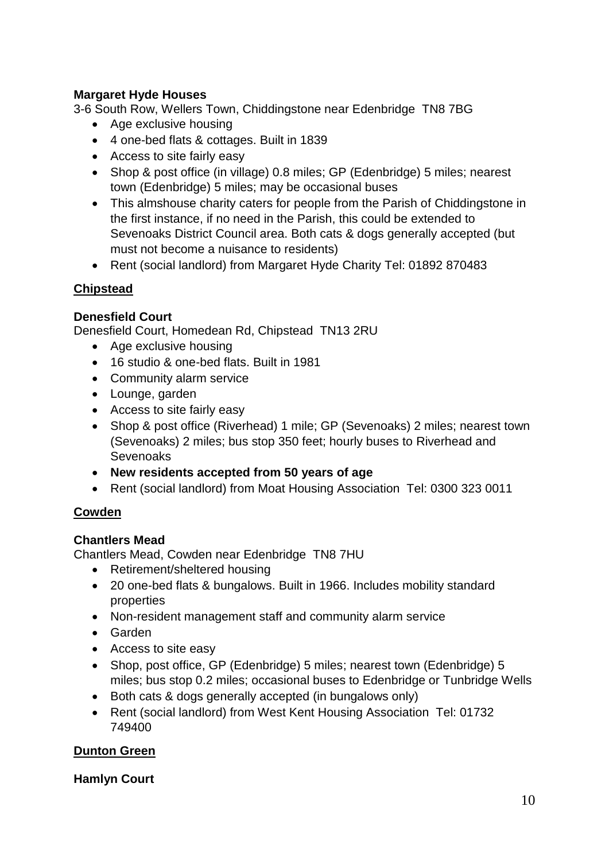### **Margaret Hyde Houses**

3-6 South Row, Wellers Town, Chiddingstone near Edenbridge TN8 7BG

- Age exclusive housing
- 4 one-bed flats & cottages. Built in 1839
- Access to site fairly easy
- Shop & post office (in village) 0.8 miles; GP (Edenbridge) 5 miles; nearest town (Edenbridge) 5 miles; may be occasional buses
- This almshouse charity caters for people from the Parish of Chiddingstone in the first instance, if no need in the Parish, this could be extended to Sevenoaks District Council area. Both cats & dogs generally accepted (but must not become a nuisance to residents)
- Rent (social landlord) from Margaret Hyde Charity Tel: 01892 870483

### **Chipstead**

### **Denesfield Court**

Denesfield Court, Homedean Rd, Chipstead TN13 2RU

- Age exclusive housing
- 16 studio & one-bed flats. Built in 1981
- Community alarm service
- Lounge, garden
- Access to site fairly easy
- Shop & post office (Riverhead) 1 mile; GP (Sevenoaks) 2 miles; nearest town (Sevenoaks) 2 miles; bus stop 350 feet; hourly buses to Riverhead and Sevenoaks
- **New residents accepted from 50 years of age**
- Rent (social landlord) from Moat Housing Association Tel: 0300 323 0011

### **Cowden**

### **Chantlers Mead**

Chantlers Mead, Cowden near Edenbridge TN8 7HU

- Retirement/sheltered housing
- 20 one-bed flats & bungalows. Built in 1966. Includes mobility standard properties
- Non-resident management staff and community alarm service
- Garden
- Access to site easy
- Shop, post office, GP (Edenbridge) 5 miles; nearest town (Edenbridge) 5 miles; bus stop 0.2 miles; occasional buses to Edenbridge or Tunbridge Wells
- Both cats & dogs generally accepted (in bungalows only)
- Rent (social landlord) from West Kent Housing Association Tel: 01732 749400

### **Dunton Green**

### **Hamlyn Court**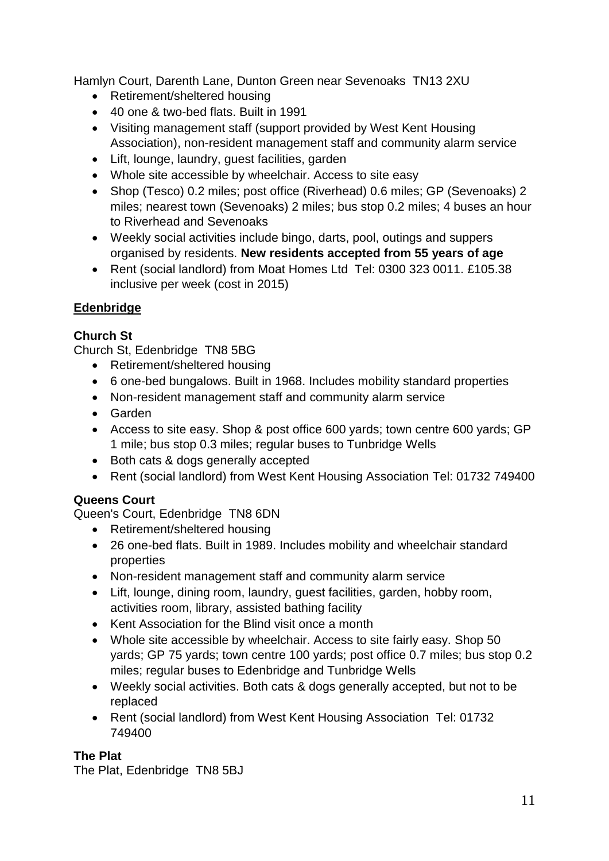Hamlyn Court, Darenth Lane, Dunton Green near Sevenoaks TN13 2XU

- Retirement/sheltered housing
- 40 one & two-bed flats. Built in 1991
- Visiting management staff (support provided by West Kent Housing Association), non-resident management staff and community alarm service
- Lift, lounge, laundry, guest facilities, garden
- Whole site accessible by wheelchair. Access to site easy
- Shop (Tesco) 0.2 miles; post office (Riverhead) 0.6 miles; GP (Sevenoaks) 2 miles; nearest town (Sevenoaks) 2 miles; bus stop 0.2 miles; 4 buses an hour to Riverhead and Sevenoaks
- Weekly social activities include bingo, darts, pool, outings and suppers organised by residents. **New residents accepted from 55 years of age**
- Rent (social landlord) from Moat Homes Ltd Tel: 0300 323 0011. £105.38 inclusive per week (cost in 2015)

## **Edenbridge**

### **Church St**

Church St, Edenbridge TN8 5BG

- Retirement/sheltered housing
- 6 one-bed bungalows. Built in 1968. Includes mobility standard properties
- Non-resident management staff and community alarm service
- Garden
- Access to site easy. Shop & post office 600 yards; town centre 600 yards; GP 1 mile; bus stop 0.3 miles; regular buses to Tunbridge Wells
- Both cats & dogs generally accepted
- Rent (social landlord) from West Kent Housing Association Tel: 01732 749400

## **Queens Court**

Queen's Court, Edenbridge TN8 6DN

- Retirement/sheltered housing
- 26 one-bed flats. Built in 1989. Includes mobility and wheelchair standard properties
- Non-resident management staff and community alarm service
- Lift, lounge, dining room, laundry, quest facilities, garden, hobby room, activities room, library, assisted bathing facility
- Kent Association for the Blind visit once a month
- Whole site accessible by wheelchair. Access to site fairly easy. Shop 50 yards; GP 75 yards; town centre 100 yards; post office 0.7 miles; bus stop 0.2 miles; regular buses to Edenbridge and Tunbridge Wells
- Weekly social activities. Both cats & dogs generally accepted, but not to be replaced
- Rent (social landlord) from West Kent Housing Association Tel: 01732 749400

### **The Plat**

The Plat, Edenbridge TN8 5BJ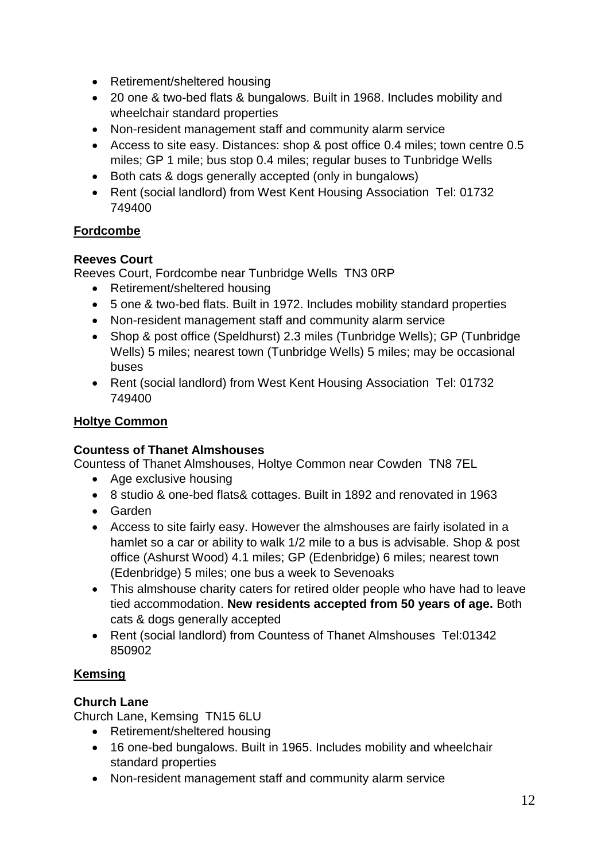- Retirement/sheltered housing
- 20 one & two-bed flats & bungalows. Built in 1968. Includes mobility and wheelchair standard properties
- Non-resident management staff and community alarm service
- Access to site easy. Distances: shop & post office 0.4 miles; town centre 0.5 miles; GP 1 mile; bus stop 0.4 miles; regular buses to Tunbridge Wells
- Both cats & dogs generally accepted (only in bungalows)
- Rent (social landlord) from West Kent Housing Association Tel: 01732 749400

## **Fordcombe**

### **Reeves Court**

Reeves Court, Fordcombe near Tunbridge Wells TN3 0RP

- Retirement/sheltered housing
- 5 one & two-bed flats. Built in 1972. Includes mobility standard properties
- Non-resident management staff and community alarm service
- Shop & post office (Speldhurst) 2.3 miles (Tunbridge Wells); GP (Tunbridge Wells) 5 miles; nearest town (Tunbridge Wells) 5 miles; may be occasional buses
- Rent (social landlord) from West Kent Housing Association Tel: 01732 749400

### **Holtye Common**

### **Countess of Thanet Almshouses**

Countess of Thanet Almshouses, Holtye Common near Cowden TN8 7EL

- Age exclusive housing
- 8 studio & one-bed flats& cottages. Built in 1892 and renovated in 1963
- Garden
- Access to site fairly easy. However the almshouses are fairly isolated in a hamlet so a car or ability to walk 1/2 mile to a bus is advisable. Shop & post office (Ashurst Wood) 4.1 miles; GP (Edenbridge) 6 miles; nearest town (Edenbridge) 5 miles; one bus a week to Sevenoaks
- This almshouse charity caters for retired older people who have had to leave tied accommodation. **New residents accepted from 50 years of age.** Both cats & dogs generally accepted
- Rent (social landlord) from Countess of Thanet Almshouses Tel:01342 850902

### **Kemsing**

### **Church Lane**

Church Lane, Kemsing TN15 6LU

- Retirement/sheltered housing
- 16 one-bed bungalows. Built in 1965. Includes mobility and wheelchair standard properties
- Non-resident management staff and community alarm service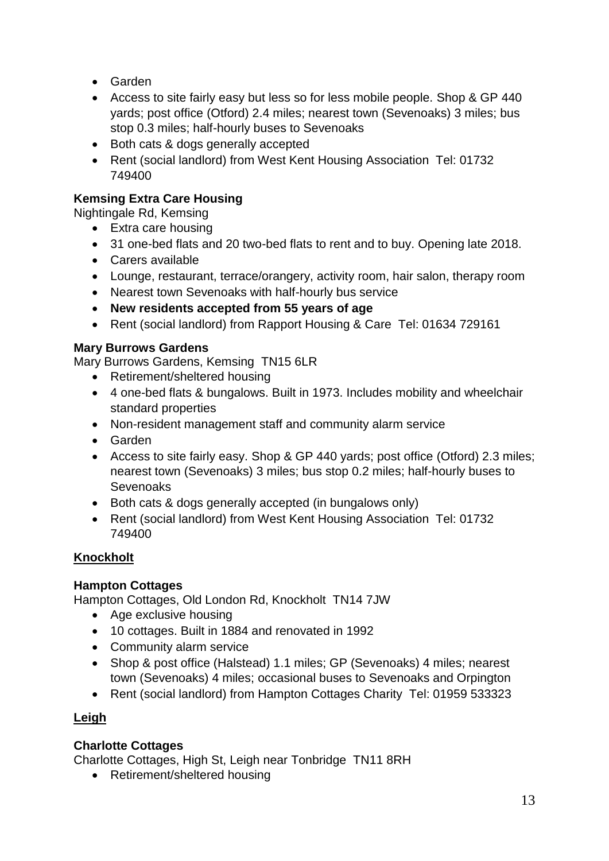- Garden
- Access to site fairly easy but less so for less mobile people. Shop & GP 440 yards; post office (Otford) 2.4 miles; nearest town (Sevenoaks) 3 miles; bus stop 0.3 miles; half-hourly buses to Sevenoaks
- Both cats & dogs generally accepted
- Rent (social landlord) from West Kent Housing Association Tel: 01732 749400

## **Kemsing Extra Care Housing**

Nightingale Rd, Kemsing

- Extra care housing
- 31 one-bed flats and 20 two-bed flats to rent and to buy. Opening late 2018.
- Carers available
- Lounge, restaurant, terrace/orangery, activity room, hair salon, therapy room
- Nearest town Sevenoaks with half-hourly bus service
- **New residents accepted from 55 years of age**
- Rent (social landlord) from Rapport Housing & Care Tel: 01634 729161

### **Mary Burrows Gardens**

Mary Burrows Gardens, Kemsing TN15 6LR

- Retirement/sheltered housing
- 4 one-bed flats & bungalows. Built in 1973. Includes mobility and wheelchair standard properties
- Non-resident management staff and community alarm service
- Garden
- Access to site fairly easy. Shop & GP 440 yards; post office (Otford) 2.3 miles; nearest town (Sevenoaks) 3 miles; bus stop 0.2 miles; half-hourly buses to Sevenoaks
- Both cats & dogs generally accepted (in bungalows only)
- Rent (social landlord) from West Kent Housing Association Tel: 01732 749400

## **Knockholt**

### **Hampton Cottages**

Hampton Cottages, Old London Rd, Knockholt TN14 7JW

- Age exclusive housing
- 10 cottages. Built in 1884 and renovated in 1992
- Community alarm service
- Shop & post office (Halstead) 1.1 miles; GP (Sevenoaks) 4 miles; nearest town (Sevenoaks) 4 miles; occasional buses to Sevenoaks and Orpington
- Rent (social landlord) from Hampton Cottages Charity Tel: 01959 533323

### **Leigh**

## **Charlotte Cottages**

Charlotte Cottages, High St, Leigh near Tonbridge TN11 8RH

• Retirement/sheltered housing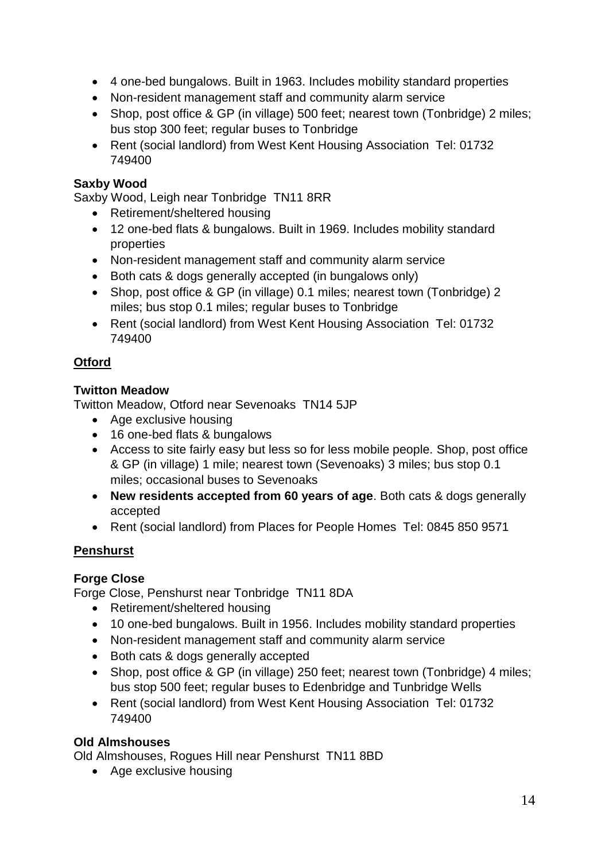- 4 one-bed bungalows. Built in 1963. Includes mobility standard properties
- Non-resident management staff and community alarm service
- Shop, post office & GP (in village) 500 feet; nearest town (Tonbridge) 2 miles; bus stop 300 feet; regular buses to Tonbridge
- Rent (social landlord) from West Kent Housing Association Tel: 01732 749400

### **Saxby Wood**

Saxby Wood, Leigh near Tonbridge TN11 8RR

- Retirement/sheltered housing
- 12 one-bed flats & bungalows. Built in 1969. Includes mobility standard properties
- Non-resident management staff and community alarm service
- Both cats & dogs generally accepted (in bungalows only)
- Shop, post office & GP (in village) 0.1 miles; nearest town (Tonbridge) 2 miles; bus stop 0.1 miles; regular buses to Tonbridge
- Rent (social landlord) from West Kent Housing Association Tel: 01732 749400

### **Otford**

### **Twitton Meadow**

Twitton Meadow, Otford near Sevenoaks TN14 5JP

- Age exclusive housing
- 16 one-bed flats & bungalows
- Access to site fairly easy but less so for less mobile people. Shop, post office & GP (in village) 1 mile; nearest town (Sevenoaks) 3 miles; bus stop 0.1 miles; occasional buses to Sevenoaks
- **New residents accepted from 60 years of age**. Both cats & dogs generally accepted
- Rent (social landlord) from Places for People Homes Tel: 0845 850 9571

### **Penshurst**

### **Forge Close**

Forge Close, Penshurst near Tonbridge TN11 8DA

- Retirement/sheltered housing
- 10 one-bed bungalows. Built in 1956. Includes mobility standard properties
- Non-resident management staff and community alarm service
- Both cats & dogs generally accepted
- Shop, post office & GP (in village) 250 feet; nearest town (Tonbridge) 4 miles; bus stop 500 feet; regular buses to Edenbridge and Tunbridge Wells
- Rent (social landlord) from West Kent Housing Association Tel: 01732 749400

### **Old Almshouses**

Old Almshouses, Rogues Hill near Penshurst TN11 8BD

• Age exclusive housing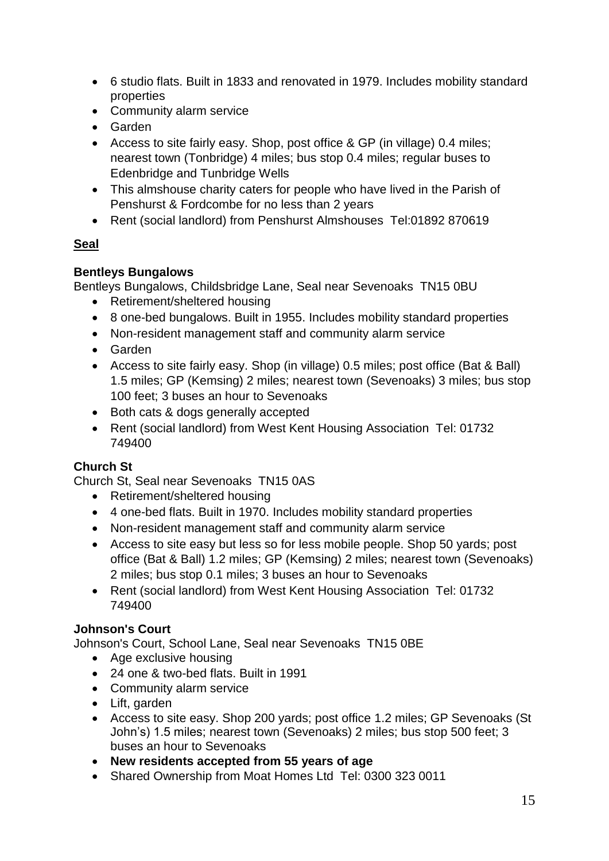- 6 studio flats. Built in 1833 and renovated in 1979. Includes mobility standard properties
- Community alarm service
- Garden
- Access to site fairly easy. Shop, post office & GP (in village) 0.4 miles; nearest town (Tonbridge) 4 miles; bus stop 0.4 miles; regular buses to Edenbridge and Tunbridge Wells
- This almshouse charity caters for people who have lived in the Parish of Penshurst & Fordcombe for no less than 2 years
- Rent (social landlord) from Penshurst Almshouses Tel:01892 870619

## **Seal**

## **Bentleys Bungalows**

Bentleys Bungalows, Childsbridge Lane, Seal near Sevenoaks TN15 0BU

- Retirement/sheltered housing
- 8 one-bed bungalows. Built in 1955. Includes mobility standard properties
- Non-resident management staff and community alarm service
- Garden
- Access to site fairly easy. Shop (in village) 0.5 miles; post office (Bat & Ball) 1.5 miles; GP (Kemsing) 2 miles; nearest town (Sevenoaks) 3 miles; bus stop 100 feet; 3 buses an hour to Sevenoaks
- Both cats & dogs generally accepted
- Rent (social landlord) from West Kent Housing Association Tel: 01732 749400

## **Church St**

Church St, Seal near Sevenoaks TN15 0AS

- Retirement/sheltered housing
- 4 one-bed flats. Built in 1970. Includes mobility standard properties
- Non-resident management staff and community alarm service
- Access to site easy but less so for less mobile people. Shop 50 yards; post office (Bat & Ball) 1.2 miles; GP (Kemsing) 2 miles; nearest town (Sevenoaks) 2 miles; bus stop 0.1 miles; 3 buses an hour to Sevenoaks
- Rent (social landlord) from West Kent Housing Association Tel: 01732 749400

## **Johnson's Court**

Johnson's Court, School Lane, Seal near Sevenoaks TN15 0BE

- Age exclusive housing
- 24 one & two-bed flats. Built in 1991
- Community alarm service
- Lift, garden
- Access to site easy. Shop 200 yards; post office 1.2 miles; GP Sevenoaks (St John's) 1.5 miles; nearest town (Sevenoaks) 2 miles; bus stop 500 feet; 3 buses an hour to Sevenoaks
- **New residents accepted from 55 years of age**
- Shared Ownership from Moat Homes Ltd Tel: 0300 323 0011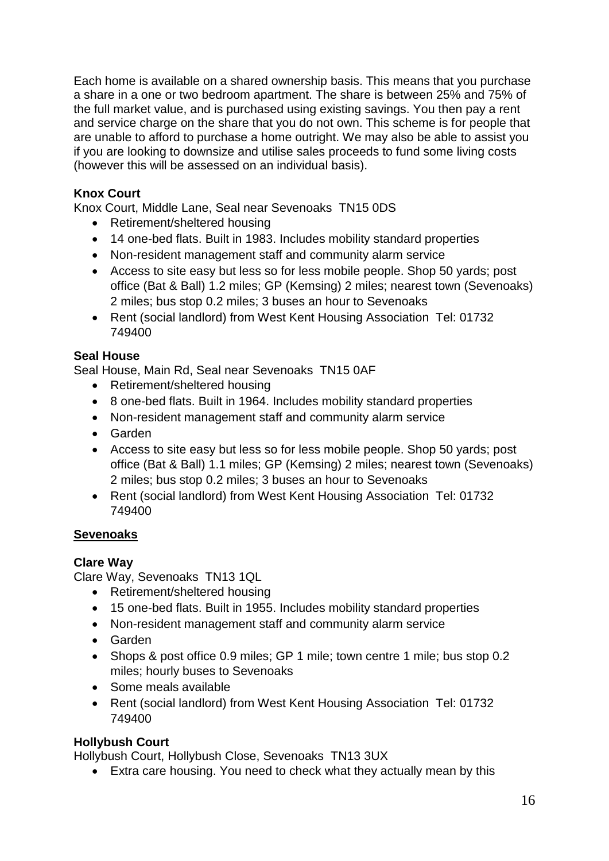Each home is available on a shared ownership basis. This means that you purchase a share in a one or two bedroom apartment. The share is between 25% and 75% of the full market value, and is purchased using existing savings. You then pay a rent and service charge on the share that you do not own. This scheme is for people that are unable to afford to purchase a home outright. We may also be able to assist you if you are looking to downsize and utilise sales proceeds to fund some living costs (however this will be assessed on an individual basis).

### **Knox Court**

Knox Court, Middle Lane, Seal near Sevenoaks TN15 0DS

- Retirement/sheltered housing
- 14 one-bed flats. Built in 1983. Includes mobility standard properties
- Non-resident management staff and community alarm service
- Access to site easy but less so for less mobile people. Shop 50 yards; post office (Bat & Ball) 1.2 miles; GP (Kemsing) 2 miles; nearest town (Sevenoaks) 2 miles; bus stop 0.2 miles; 3 buses an hour to Sevenoaks
- Rent (social landlord) from West Kent Housing Association Tel: 01732 749400

### **Seal House**

Seal House, Main Rd, Seal near Sevenoaks TN15 0AF

- Retirement/sheltered housing
- 8 one-bed flats. Built in 1964. Includes mobility standard properties
- Non-resident management staff and community alarm service
- Garden
- Access to site easy but less so for less mobile people. Shop 50 yards; post office (Bat & Ball) 1.1 miles; GP (Kemsing) 2 miles; nearest town (Sevenoaks) 2 miles; bus stop 0.2 miles; 3 buses an hour to Sevenoaks
- Rent (social landlord) from West Kent Housing Association Tel: 01732 749400

### **Sevenoaks**

### **Clare Way**

Clare Way, Sevenoaks TN13 1QL

- Retirement/sheltered housing
- 15 one-bed flats. Built in 1955. Includes mobility standard properties
- Non-resident management staff and community alarm service
- Garden
- Shops & post office 0.9 miles; GP 1 mile; town centre 1 mile; bus stop 0.2 miles; hourly buses to Sevenoaks
- Some meals available
- Rent (social landlord) from West Kent Housing Association Tel: 01732 749400

### **Hollybush Court**

Hollybush Court, Hollybush Close, Sevenoaks TN13 3UX

Extra care housing. You need to check what they actually mean by this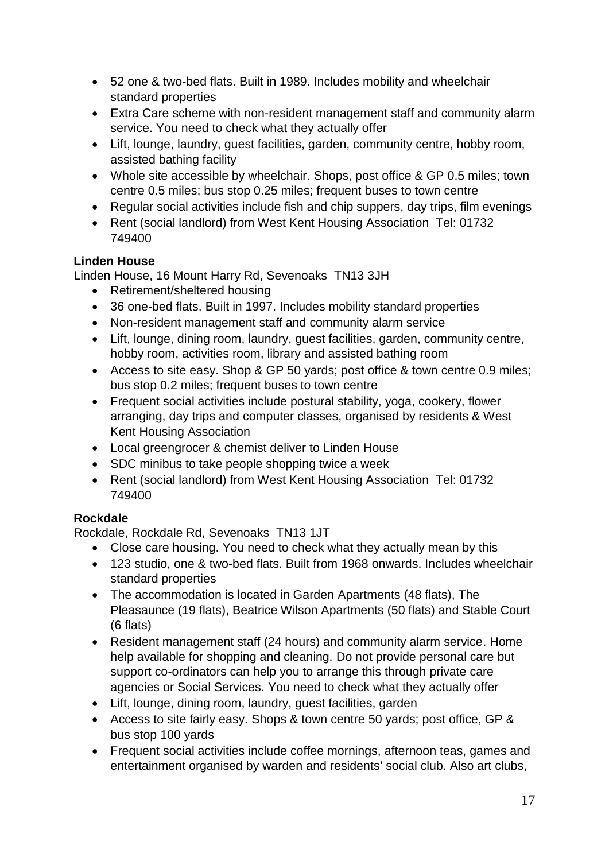- 52 one & two-bed flats. Built in 1989. Includes mobility and wheelchair standard properties
- Extra Care scheme with non-resident management staff and community alarm service. You need to check what they actually offer
- Lift, lounge, laundry, guest facilities, garden, community centre, hobby room, assisted bathing facility
- Whole site accessible by wheelchair. Shops, post office & GP 0.5 miles; town centre 0.5 miles; bus stop 0.25 miles; frequent buses to town centre
- Regular social activities include fish and chip suppers, day trips, film evenings
- Rent (social landlord) from West Kent Housing Association Tel: 01732 749400

### **Linden House**

Linden House, 16 Mount Harry Rd, Sevenoaks TN13 3JH

- Retirement/sheltered housing
- 36 one-bed flats. Built in 1997. Includes mobility standard properties
- Non-resident management staff and community alarm service
- Lift, lounge, dining room, laundry, guest facilities, garden, community centre, hobby room, activities room, library and assisted bathing room
- Access to site easy. Shop & GP 50 yards; post office & town centre 0.9 miles; bus stop 0.2 miles; frequent buses to town centre
- Frequent social activities include postural stability, yoga, cookery, flower arranging, day trips and computer classes, organised by residents & West Kent Housing Association
- Local greengrocer & chemist deliver to Linden House
- SDC minibus to take people shopping twice a week
- Rent (social landlord) from West Kent Housing Association Tel: 01732 749400

## **Rockdale**

Rockdale, Rockdale Rd, Sevenoaks TN13 1JT

- Close care housing. You need to check what they actually mean by this
- 123 studio, one & two-bed flats. Built from 1968 onwards. Includes wheelchair standard properties
- The accommodation is located in Garden Apartments (48 flats), The Pleasaunce (19 flats), Beatrice Wilson Apartments (50 flats) and Stable Court (6 flats)
- Resident management staff (24 hours) and community alarm service. Home help available for shopping and cleaning. Do not provide personal care but support co-ordinators can help you to arrange this through private care agencies or Social Services. You need to check what they actually offer
- Lift, lounge, dining room, laundry, guest facilities, garden
- Access to site fairly easy. Shops & town centre 50 yards; post office, GP & bus stop 100 yards
- Frequent social activities include coffee mornings, afternoon teas, games and entertainment organised by warden and residents' social club. Also art clubs,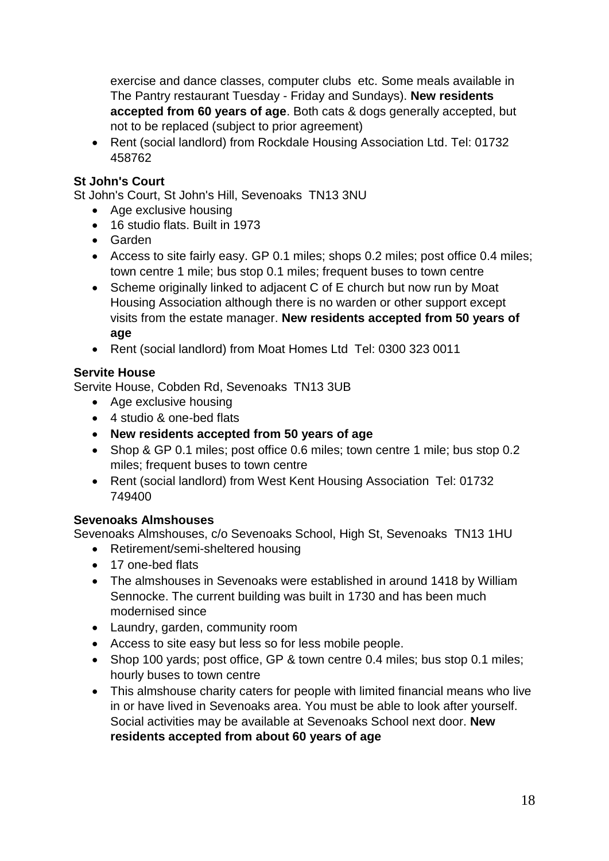exercise and dance classes, computer clubs etc. Some meals available in The Pantry restaurant Tuesday - Friday and Sundays). **New residents accepted from 60 years of age**. Both cats & dogs generally accepted, but not to be replaced (subject to prior agreement)

• Rent (social landlord) from Rockdale Housing Association Ltd. Tel: 01732 458762

### **St John's Court**

St John's Court, St John's Hill, Sevenoaks TN13 3NU

- Age exclusive housing
- 16 studio flats. Built in 1973
- Garden
- Access to site fairly easy. GP 0.1 miles; shops 0.2 miles; post office 0.4 miles; town centre 1 mile; bus stop 0.1 miles; frequent buses to town centre
- Scheme originally linked to adjacent C of E church but now run by Moat Housing Association although there is no warden or other support except visits from the estate manager. **New residents accepted from 50 years of age**
- Rent (social landlord) from Moat Homes Ltd Tel: 0300 323 0011

### **Servite House**

Servite House, Cobden Rd, Sevenoaks TN13 3UB

- Age exclusive housing
- 4 studio & one-bed flats
- **New residents accepted from 50 years of age**
- Shop & GP 0.1 miles; post office 0.6 miles; town centre 1 mile; bus stop 0.2 miles; frequent buses to town centre
- Rent (social landlord) from West Kent Housing Association Tel: 01732 749400

### **Sevenoaks Almshouses**

Sevenoaks Almshouses, c/o Sevenoaks School, High St, Sevenoaks TN13 1HU

- Retirement/semi-sheltered housing
- 17 one-bed flats
- The almshouses in Sevenoaks were established in around 1418 by William Sennocke. The current building was built in 1730 and has been much modernised since
- Laundry, garden, community room
- Access to site easy but less so for less mobile people.
- Shop 100 yards; post office, GP & town centre 0.4 miles; bus stop 0.1 miles; hourly buses to town centre
- This almshouse charity caters for people with limited financial means who live in or have lived in Sevenoaks area. You must be able to look after yourself. Social activities may be available at Sevenoaks School next door. **New residents accepted from about 60 years of age**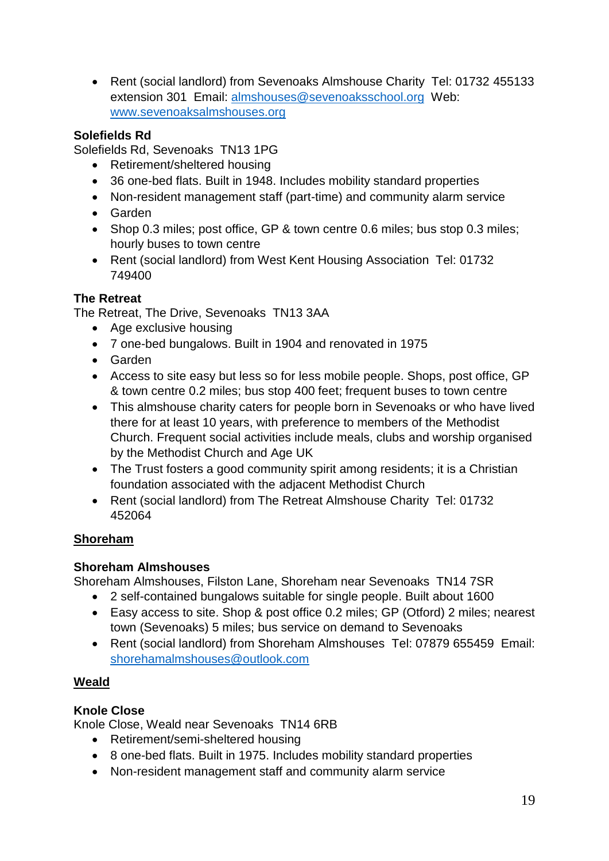• Rent (social landlord) from Sevenoaks Almshouse Charity Tel: 01732 455133 extension 301 Email: [almshouses@sevenoaksschool.org](mailto:almshouses@sevenoaksschool.org) Web: [www.sevenoaksalmshouses.org](http://www.sevenoaksalmshouses.org/)

## **Solefields Rd**

Solefields Rd, Sevenoaks TN13 1PG

- Retirement/sheltered housing
- 36 one-bed flats. Built in 1948. Includes mobility standard properties
- Non-resident management staff (part-time) and community alarm service
- Garden
- Shop 0.3 miles; post office, GP & town centre 0.6 miles; bus stop 0.3 miles; hourly buses to town centre
- Rent (social landlord) from West Kent Housing Association Tel: 01732 749400

### **The Retreat**

The Retreat, The Drive, Sevenoaks TN13 3AA

- Age exclusive housing
- 7 one-bed bungalows. Built in 1904 and renovated in 1975
- Garden
- Access to site easy but less so for less mobile people. Shops, post office, GP & town centre 0.2 miles; bus stop 400 feet; frequent buses to town centre
- This almshouse charity caters for people born in Sevenoaks or who have lived there for at least 10 years, with preference to members of the Methodist Church. Frequent social activities include meals, clubs and worship organised by the Methodist Church and Age UK
- The Trust fosters a good community spirit among residents; it is a Christian foundation associated with the adjacent Methodist Church
- Rent (social landlord) from The Retreat Almshouse Charity Tel: 01732 452064

### **Shoreham**

### **Shoreham Almshouses**

Shoreham Almshouses, Filston Lane, Shoreham near Sevenoaks TN14 7SR

- 2 self-contained bungalows suitable for single people. Built about 1600
- Easy access to site. Shop & post office 0.2 miles; GP (Otford) 2 miles; nearest town (Sevenoaks) 5 miles; bus service on demand to Sevenoaks
- Rent (social landlord) from Shoreham Almshouses Tel: 07879 655459 Email: [shorehamalmshouses@outlook.com](mailto:shorehamalmshouses@outlook.com)

### **Weald**

### **Knole Close**

Knole Close, Weald near Sevenoaks TN14 6RB

- Retirement/semi-sheltered housing
- 8 one-bed flats. Built in 1975. Includes mobility standard properties
- Non-resident management staff and community alarm service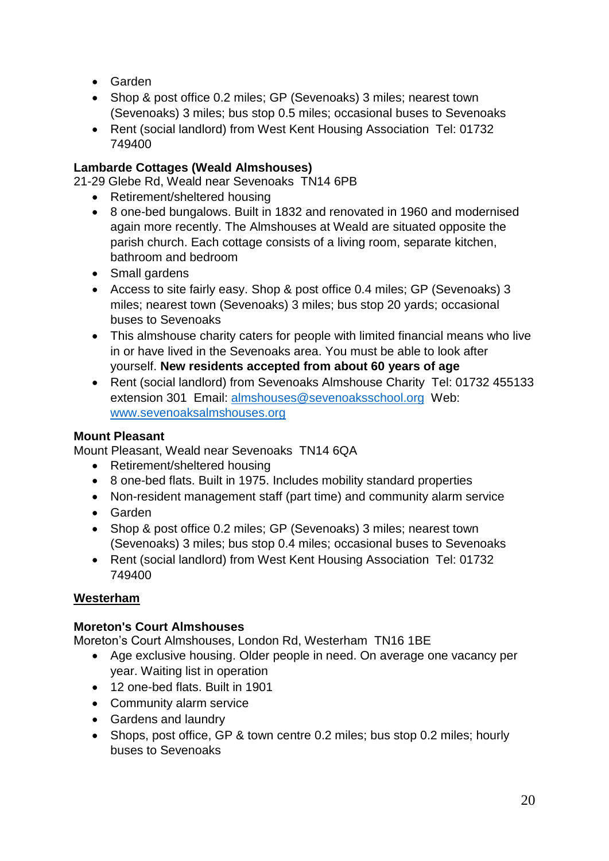- Garden
- Shop & post office 0.2 miles; GP (Sevenoaks) 3 miles; nearest town (Sevenoaks) 3 miles; bus stop 0.5 miles; occasional buses to Sevenoaks
- Rent (social landlord) from West Kent Housing Association Tel: 01732 749400

### **Lambarde Cottages (Weald Almshouses)**

21-29 Glebe Rd, Weald near Sevenoaks TN14 6PB

- Retirement/sheltered housing
- 8 one-bed bungalows. Built in 1832 and renovated in 1960 and modernised again more recently. The Almshouses at Weald are situated opposite the parish church. Each cottage consists of a living room, separate kitchen, bathroom and bedroom
- Small gardens
- Access to site fairly easy. Shop & post office 0.4 miles; GP (Sevenoaks) 3 miles; nearest town (Sevenoaks) 3 miles; bus stop 20 yards; occasional buses to Sevenoaks
- This almshouse charity caters for people with limited financial means who live in or have lived in the Sevenoaks area. You must be able to look after yourself. **New residents accepted from about 60 years of age**
- Rent (social landlord) from Sevenoaks Almshouse Charity Tel: 01732 455133 extension 301 Email: [almshouses@sevenoaksschool.org](mailto:almshouses@sevenoaksschool.org) Web: [www.sevenoaksalmshouses.org](http://www.sevenoaksalmshouses.org/)

### **Mount Pleasant**

Mount Pleasant, Weald near Sevenoaks TN14 6QA

- Retirement/sheltered housing
- 8 one-bed flats. Built in 1975. Includes mobility standard properties
- Non-resident management staff (part time) and community alarm service
- Garden
- Shop & post office 0.2 miles; GP (Sevenoaks) 3 miles; nearest town (Sevenoaks) 3 miles; bus stop 0.4 miles; occasional buses to Sevenoaks
- Rent (social landlord) from West Kent Housing Association Tel: 01732 749400

### **Westerham**

### **Moreton's Court Almshouses**

Moreton's Court Almshouses, London Rd, Westerham TN16 1BE

- Age exclusive housing. Older people in need. On average one vacancy per year. Waiting list in operation
- 12 one-bed flats. Built in 1901
- Community alarm service
- Gardens and laundry
- Shops, post office, GP & town centre 0.2 miles; bus stop 0.2 miles; hourly buses to Sevenoaks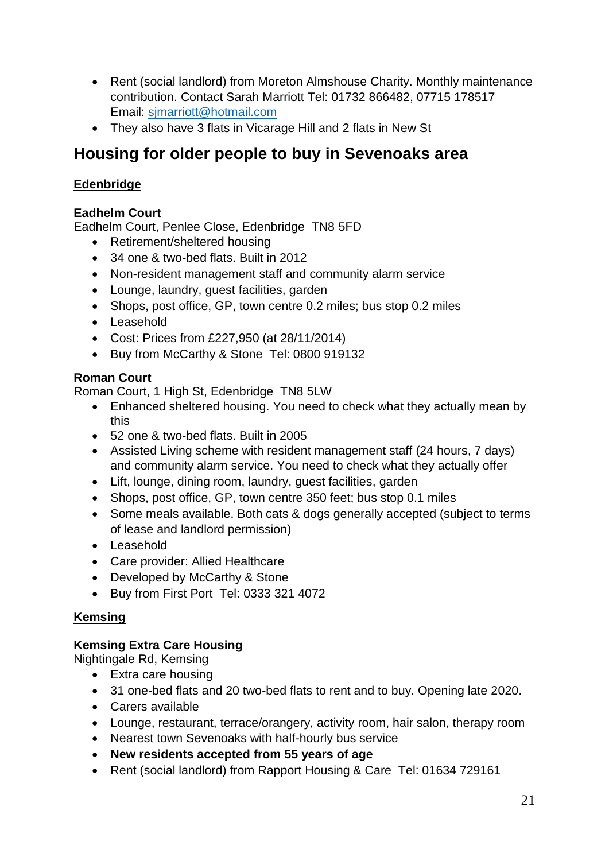- Rent (social landlord) from Moreton Almshouse Charity. Monthly maintenance contribution. Contact Sarah Marriott Tel: 01732 866482, 07715 178517 Email: [sjmarriott@hotmail.com](mailto:sjmarriott@hotmail.com)
- They also have 3 flats in Vicarage Hill and 2 flats in New St

## **Housing for older people to buy in Sevenoaks area**

## **Edenbridge**

## **Eadhelm Court**

Eadhelm Court, Penlee Close, Edenbridge TN8 5FD

- Retirement/sheltered housing
- 34 one & two-bed flats. Built in 2012
- Non-resident management staff and community alarm service
- Lounge, laundry, guest facilities, garden
- Shops, post office, GP, town centre 0.2 miles; bus stop 0.2 miles
- Leasehold
- Cost: Prices from £227,950 (at 28/11/2014)
- Buy from [McCarthy & Stone](http://www.mccarthyandstone.co.uk/) Tel: 0800 919132

### **Roman Court**

Roman Court, 1 High St, Edenbridge TN8 5LW

- Enhanced sheltered housing. You need to check what they actually mean by this
- 52 one & two-bed flats. Built in 2005
- Assisted Living scheme with resident management staff (24 hours, 7 days) and community alarm service. You need to check what they actually offer
- Lift, lounge, dining room, laundry, guest facilities, garden
- Shops, post office, GP, town centre 350 feet; bus stop 0.1 miles
- Some meals available. Both cats & dogs generally accepted (subject to terms of lease and landlord permission)
- Leasehold
- Care provider: Allied Healthcare
- Developed by [McCarthy & Stone](http://www.mccarthyandstone.co.uk/)
- Buy from First Port Tel: 0333 321 4072

## **Kemsing**

## **Kemsing Extra Care Housing**

Nightingale Rd, Kemsing

- Extra care housing
- 31 one-bed flats and 20 two-bed flats to rent and to buy. Opening late 2020.
- Carers available
- Lounge, restaurant, terrace/orangery, activity room, hair salon, therapy room
- Nearest town Sevenoaks with half-hourly bus service
- **New residents accepted from 55 years of age**
- Rent (social landlord) from Rapport Housing & Care Tel: 01634 729161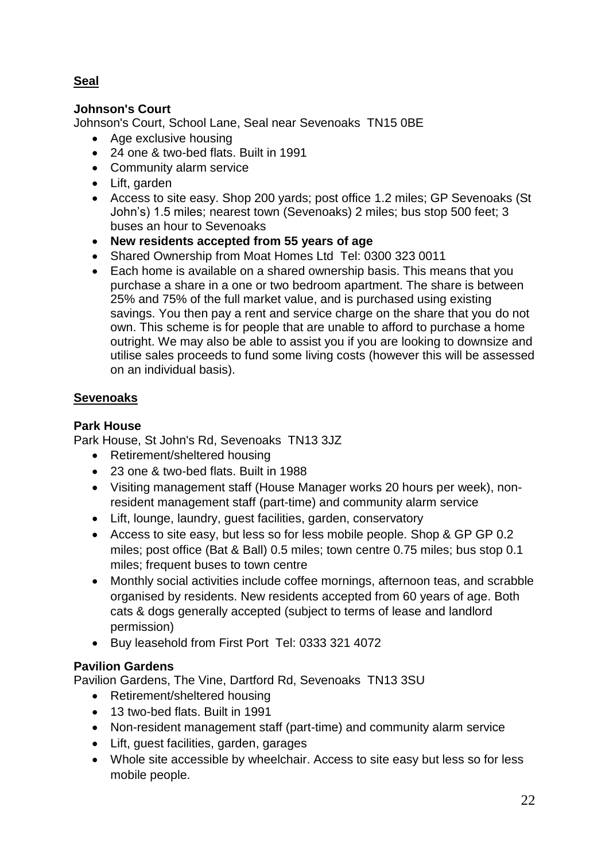## **Seal**

### **Johnson's Court**

Johnson's Court, School Lane, Seal near Sevenoaks TN15 0BE

- Age exclusive housing
- 24 one & two-bed flats. Built in 1991
- Community alarm service
- Lift, garden
- Access to site easy. Shop 200 yards; post office 1.2 miles; GP Sevenoaks (St John's) 1.5 miles; nearest town (Sevenoaks) 2 miles; bus stop 500 feet; 3 buses an hour to Sevenoaks
- **New residents accepted from 55 years of age**
- Shared Ownership from Moat Homes Ltd Tel: 0300 323 0011
- Each home is available on a shared ownership basis. This means that you purchase a share in a one or two bedroom apartment. The share is between 25% and 75% of the full market value, and is purchased using existing savings. You then pay a rent and service charge on the share that you do not own. This scheme is for people that are unable to afford to purchase a home outright. We may also be able to assist you if you are looking to downsize and utilise sales proceeds to fund some living costs (however this will be assessed on an individual basis).

### **Sevenoaks**

## **Park House**

Park House, St John's Rd, Sevenoaks TN13 3JZ

- Retirement/sheltered housing
- 23 one & two-bed flats. Built in 1988
- Visiting management staff (House Manager works 20 hours per week), nonresident management staff (part-time) and community alarm service
- Lift, lounge, laundry, guest facilities, garden, conservatory
- Access to site easy, but less so for less mobile people. Shop & GP GP 0.2 miles; post office (Bat & Ball) 0.5 miles; town centre 0.75 miles; bus stop 0.1 miles; frequent buses to town centre
- Monthly social activities include coffee mornings, afternoon teas, and scrabble organised by residents. New residents accepted from 60 years of age. Both cats & dogs generally accepted (subject to terms of lease and landlord permission)
- Buy leasehold from First Port Tel: 0333 321 4072

### **Pavilion Gardens**

Pavilion Gardens, The Vine, Dartford Rd, Sevenoaks TN13 3SU

- Retirement/sheltered housing
- 13 two-bed flats. Built in 1991
- Non-resident management staff (part-time) and community alarm service
- Lift, guest facilities, garden, garages
- Whole site accessible by wheelchair. Access to site easy but less so for less mobile people.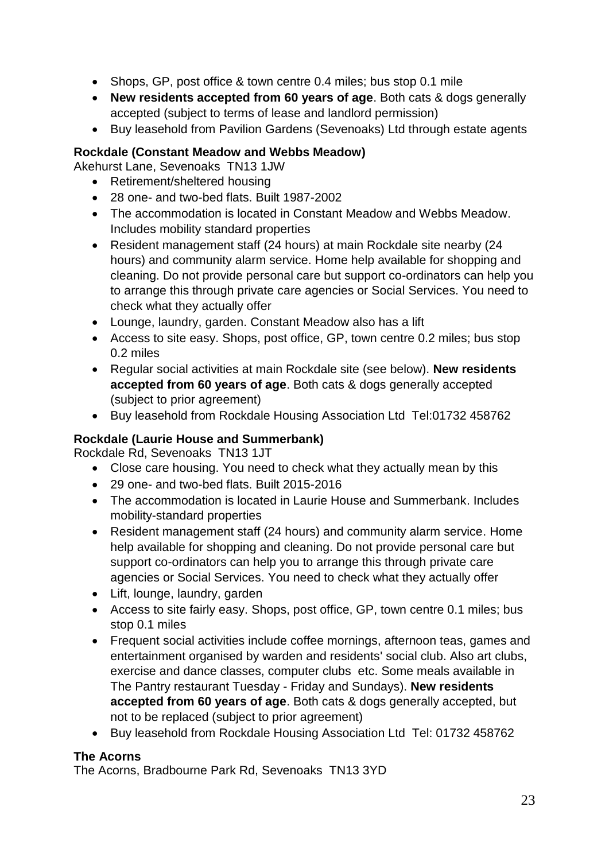- Shops, GP, post office & town centre 0.4 miles; bus stop 0.1 mile
- **New residents accepted from 60 years of age**. Both cats & dogs generally accepted (subject to terms of lease and landlord permission)
- Buy leasehold from Pavilion Gardens (Sevenoaks) Ltd through estate agents

### **Rockdale (Constant Meadow and Webbs Meadow)**

Akehurst Lane, Sevenoaks TN13 1JW

- Retirement/sheltered housing
- 28 one- and two-bed flats. Built 1987-2002
- The accommodation is located in Constant Meadow and Webbs Meadow. Includes mobility standard properties
- Resident management staff (24 hours) at main Rockdale site nearby (24 hours) and community alarm service. Home help available for shopping and cleaning. Do not provide personal care but support co-ordinators can help you to arrange this through private care agencies or Social Services. You need to check what they actually offer
- Lounge, laundry, garden. Constant Meadow also has a lift
- Access to site easy. Shops, post office, GP, town centre 0.2 miles; bus stop 0.2 miles
- Regular social activities at main Rockdale site (see below). **New residents accepted from 60 years of age**. Both cats & dogs generally accepted (subject to prior agreement)
- Buy leasehold from Rockdale Housing Association Ltd Tel:01732 458762

## **Rockdale (Laurie House and Summerbank)**

Rockdale Rd, Sevenoaks TN13 1JT

- Close care housing. You need to check what they actually mean by this
- 29 one- and two-bed flats. Built 2015-2016
- The accommodation is located in Laurie House and Summerbank. Includes mobility-standard properties
- Resident management staff (24 hours) and community alarm service. Home help available for shopping and cleaning. Do not provide personal care but support co-ordinators can help you to arrange this through private care agencies or Social Services. You need to check what they actually offer
- Lift, lounge, laundry, garden
- Access to site fairly easy. Shops, post office, GP, town centre 0.1 miles; bus stop 0.1 miles
- Frequent social activities include coffee mornings, afternoon teas, games and entertainment organised by warden and residents' social club. Also art clubs, exercise and dance classes, computer clubs etc. Some meals available in The Pantry restaurant Tuesday - Friday and Sundays). **New residents accepted from 60 years of age**. Both cats & dogs generally accepted, but not to be replaced (subject to prior agreement)
- Buy leasehold from Rockdale Housing Association Ltd Tel: 01732 458762

### **The Acorns**

The Acorns, Bradbourne Park Rd, Sevenoaks TN13 3YD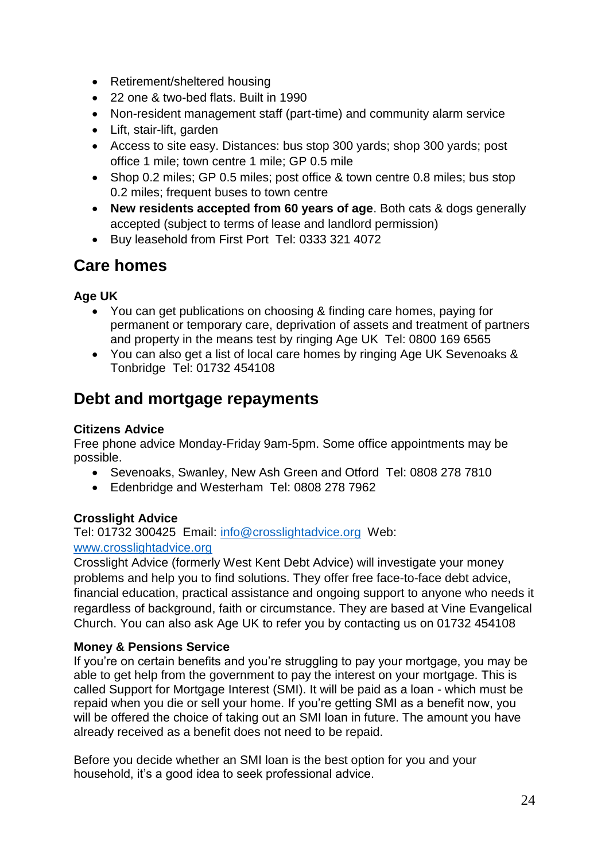- Retirement/sheltered housing
- 22 one & two-bed flats. Built in 1990
- Non-resident management staff (part-time) and community alarm service
- Lift, stair-lift, garden
- Access to site easy. Distances: bus stop 300 yards; shop 300 yards; post office 1 mile; town centre 1 mile; GP 0.5 mile
- Shop 0.2 miles; GP 0.5 miles; post office & town centre 0.8 miles; bus stop 0.2 miles; frequent buses to town centre
- **New residents accepted from 60 years of age**. Both cats & dogs generally accepted (subject to terms of lease and landlord permission)
- Buy leasehold from First Port Tel: 0333 321 4072

## **Care homes**

## **Age UK**

- You can get publications on choosing & finding care homes, paying for permanent or temporary care, deprivation of assets and treatment of partners and property in the means test by ringing Age UK Tel: 0800 169 6565
- You can also get a list of local care homes by ringing Age UK Sevenoaks & Tonbridge Tel: 01732 454108

## **Debt and mortgage repayments**

### **Citizens Advice**

Free phone advice Monday-Friday 9am-5pm. Some office appointments may be possible.

- Sevenoaks, Swanley, New Ash Green and Otford Tel: 0808 278 7810
- Edenbridge and Westerham Tel: 0808 278 7962

## **Crosslight Advice**

Tel: 01732 300425 Email: [info@crosslightadvice.org](mailto:info@crosslightadvice.org) Web: [www.crosslightadvice.org](http://www.crosslightadvice.org/)

Crosslight Advice (formerly West Kent Debt Advice) will investigate your money problems and help you to find solutions. They offer free face-to-face debt advice, financial education, practical assistance and ongoing support to anyone who needs it regardless of background, faith or circumstance. They are based at Vine Evangelical Church. You can also ask Age UK to refer you by contacting us on 01732 454108

### **Money & Pensions Service**

If you're on certain benefits and you're struggling to pay your mortgage, you may be able to get help from the government to pay the interest on your mortgage. This is called Support for Mortgage Interest (SMI). It will be paid as a loan - which must be repaid when you die or sell your home. If you're getting SMI as a benefit now, you will be offered the choice of taking out an SMI loan in future. The amount you have already received as a benefit does not need to be repaid.

Before you decide whether an SMI loan is the best option for you and your household, it's a good idea to seek professional advice.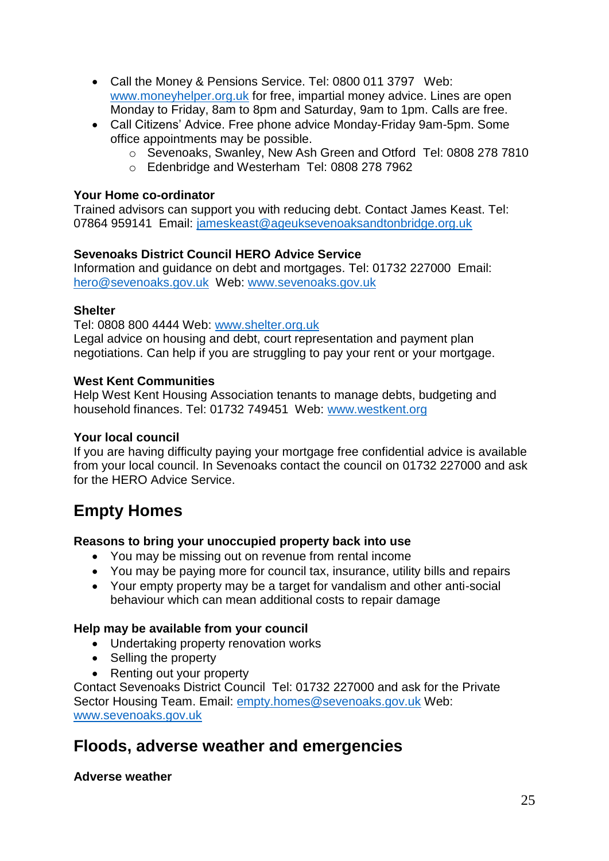- Call the Money & Pensions Service. Tel: 0800 011 3797 Web: [www.moneyhelper.org.uk](http://www.moneyhelper.org.uk/) for free, impartial money advice. Lines are open Monday to Friday, 8am to 8pm and Saturday, 9am to 1pm. Calls are free.
- Call Citizens' Advice. Free phone advice Monday-Friday 9am-5pm. Some office appointments may be possible.
	- o Sevenoaks, Swanley, New Ash Green and Otford Tel: 0808 278 7810
	- o Edenbridge and Westerham Tel: 0808 278 7962

### **Your Home co-ordinator**

Trained advisors can support you with reducing debt. Contact James Keast. Tel: 07864 959141 Email: [jameskeast@ageuksevenoaksandtonbridge.org.uk](mailto:jameskeast@ageuksevenoaksandtonbridge.org.uk)

### **Sevenoaks District Council HERO Advice Service**

Information and guidance on debt and mortgages. Tel: 01732 227000 Email: [hero@sevenoaks.gov.uk](mailto:hero@sevenoaks.gov.uk) Web: [www.sevenoaks.gov.uk](http://www.sevenoaks.gov.uk/)

### **Shelter**

Tel: 0808 800 4444 Web: [www.shelter.org.uk](http://www.shelter.org.uk/)

Legal advice on housing and debt, court representation and payment plan negotiations. Can help if you are struggling to pay your rent or your mortgage.

### **West Kent Communities**

Help West Kent Housing Association tenants to manage debts, budgeting and household finances. Tel: 01732 749451 Web: www.westkent.org

### **Your local council**

If you are having difficulty paying your mortgage free confidential advice is available from your local council. In Sevenoaks contact the council on 01732 227000 and ask for the HERO Advice Service.

## **Empty Homes**

### **Reasons to bring your unoccupied property back into use**

- You may be missing out on revenue from rental income
- You may be paying more for council tax, insurance, utility bills and repairs
- Your empty property may be a target for vandalism and other anti-social behaviour which can mean additional costs to repair damage

### **Help may be available from your council**

- Undertaking property renovation works
- Selling the property
- Renting out your property

Contact Sevenoaks District Council Tel: 01732 227000 and ask for the Private Sector Housing Team. Email: [empty.homes@sevenoaks.gov.uk](mailto:empty.homes@sevenoaks.gov.uk) Web: [www.sevenoaks.gov.uk](http://www.sevenoaks.gov.uk/)

## **Floods, adverse weather and emergencies**

**Adverse weather**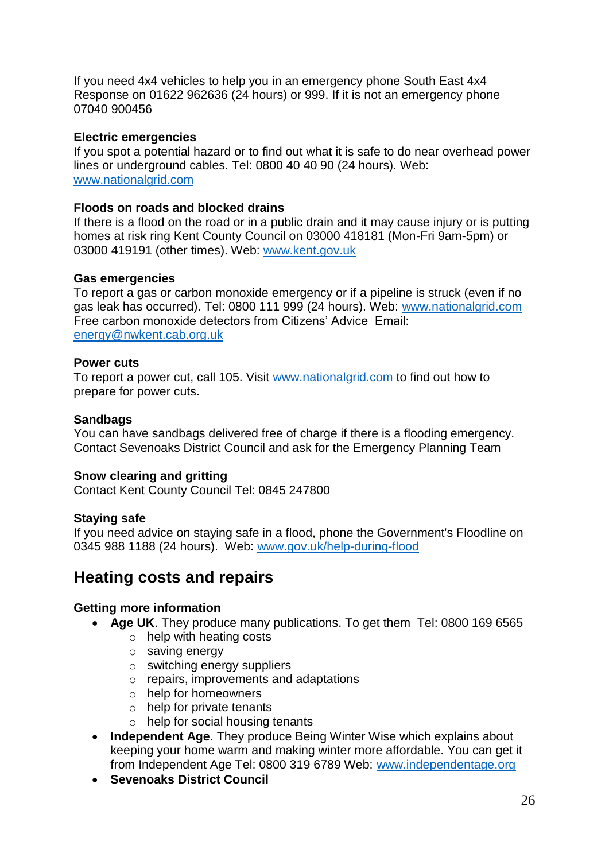If you need 4x4 vehicles to help you in an emergency phone South East 4x4 Response on 01622 962636 (24 hours) or 999. If it is not an emergency phone 07040 900456

#### **Electric emergencies**

If you spot a potential hazard or to find out what it is safe to do near overhead power lines or underground cables. Tel: 0800 40 40 90 (24 hours). Web: [www.nationalgrid.com](http://www.nationalgrid.com/)

#### **Floods on roads and blocked drains**

If there is a flood on the road or in a public drain and it may cause injury or is putting homes at risk ring Kent County Council on 03000 418181 (Mon-Fri 9am-5pm) or 03000 419191 (other times). Web: www.kent.gov.uk

#### **Gas emergencies**

To report a gas or carbon monoxide emergency or if a pipeline is struck (even if no gas leak has occurred). Tel: 0800 111 999 (24 hours). Web: [www.nationalgrid.com](http://www.nationalgrid.com/) Free carbon monoxide detectors from Citizens' Advice Email: [energy@nwkent.cab.org.uk](mailto:energy@nwkent.cab.org.uk)

#### **Power cuts**

To report a power cut, call 105. Visit [www.nationalgrid.com](http://www.nationalgrid.com/) to find out how to prepare for power cuts.

#### **Sandbags**

You can have sandbags delivered free of charge if there is a flooding emergency. Contact Sevenoaks District Council and ask for the Emergency Planning Team

### **Snow clearing and gritting**

Contact Kent County Council Tel: 0845 247800

#### **Staying safe**

If you need advice on staying safe in a flood, phone the Government's Floodline on 0345 988 1188 (24 hours). Web: www.gov.uk/help-during-flood

## **Heating costs and repairs**

### **Getting more information**

- **Age UK**. They produce many publications. To get them Tel: 0800 169 6565
	- o help with heating costs
	- o saving energy
	- o switching energy suppliers
	- o repairs, improvements and adaptations
	- o help for homeowners
	- o help for private tenants
	- o help for social housing tenants
- **Independent Age**. They produce Being Winter Wise which explains about keeping your home warm and making winter more affordable. You can get it from Independent Age Tel: 0800 319 6789 Web: www.independentage.org
- **Sevenoaks District Council**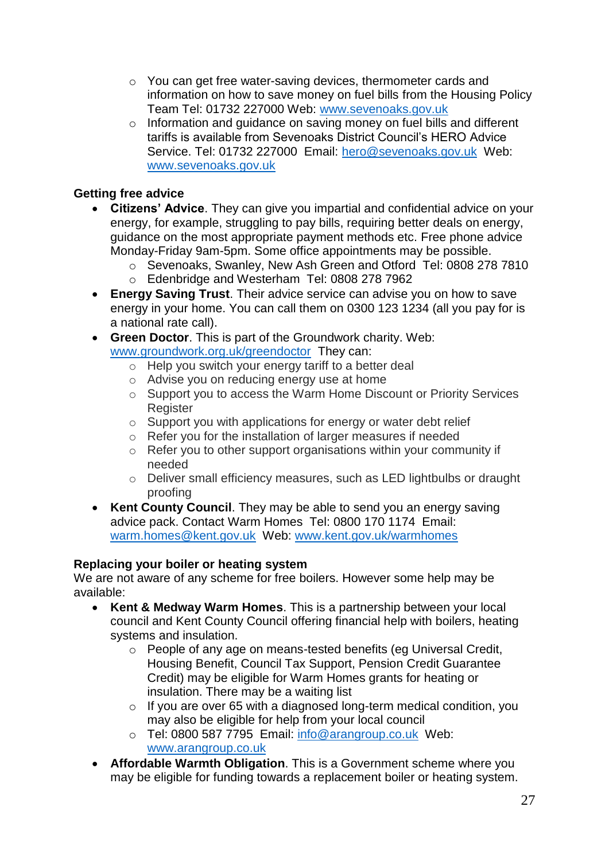- o You can get free water-saving devices, thermometer cards and information on how to save money on fuel bills from the Housing Policy Team Tel: 01732 227000 Web: [www.sevenoaks.gov.uk](http://www.sevenoaks.gov.uk/)
- o Information and guidance on saving money on fuel bills and different tariffs is available from Sevenoaks District Council's HERO Advice Service. Tel: 01732 227000 Email: [hero@sevenoaks.gov.uk](mailto:hero@sevenoaks.gov.uk) Web: [www.sevenoaks.gov.uk](http://www.sevenoaks.gov.uk/)

### **Getting free advice**

- **Citizens' Advice**. They can give you impartial and confidential advice on your energy, for example, struggling to pay bills, requiring better deals on energy, guidance on the most appropriate payment methods etc. Free phone advice Monday-Friday 9am-5pm. Some office appointments may be possible.
	- o Sevenoaks, Swanley, New Ash Green and Otford Tel: 0808 278 7810
	- o Edenbridge and Westerham Tel: 0808 278 7962
- **Energy Saving Trust**. Their advice service can advise you on how to save energy in your home. You can call them on 0300 123 1234 (all you pay for is a national rate call).
- **Green Doctor**. This is part of the Groundwork charity. Web: [www.groundwork.org.uk/greendoctor](http://www.groundwork.org.uk/greendoctor) They can:
	- o Help you switch your energy tariff to a better deal
	- o Advise you on reducing energy use at home
	- o Support you to access the Warm Home Discount or Priority Services **Register**
	- o Support you with applications for energy or water debt relief
	- o Refer you for the installation of larger measures if needed
	- o Refer you to other support organisations within your community if needed
	- o Deliver small efficiency measures, such as LED lightbulbs or draught proofing
- **Kent County Council**. They may be able to send you an energy saving advice pack. Contact Warm Homes Tel: 0800 170 1174 Email: warm.homes@kent.gov.uk Web: www.kent.gov.uk/warmhomes

### **Replacing your boiler or heating system**

We are not aware of any scheme for free boilers. However some help may be available:

- **Kent & Medway Warm Homes**. This is a partnership between your local council and Kent County Council offering financial help with boilers, heating systems and insulation.
	- o People of any age on means-tested benefits (eg Universal Credit, Housing Benefit, Council Tax Support, Pension Credit Guarantee Credit) may be eligible for Warm Homes grants for heating or insulation. There may be a waiting list
	- o If you are over 65 with a diagnosed long-term medical condition, you may also be eligible for help from your local council
	- o Tel: 0800 587 7795 Email: [info@arangroup.co.uk](mailto:info@arangroup.co.uk) Web: [www.arangroup.co.uk](http://www.arangroup.co.uk/)
- **Affordable Warmth Obligation**. This is a Government scheme where you may be eligible for funding towards a replacement boiler or heating system.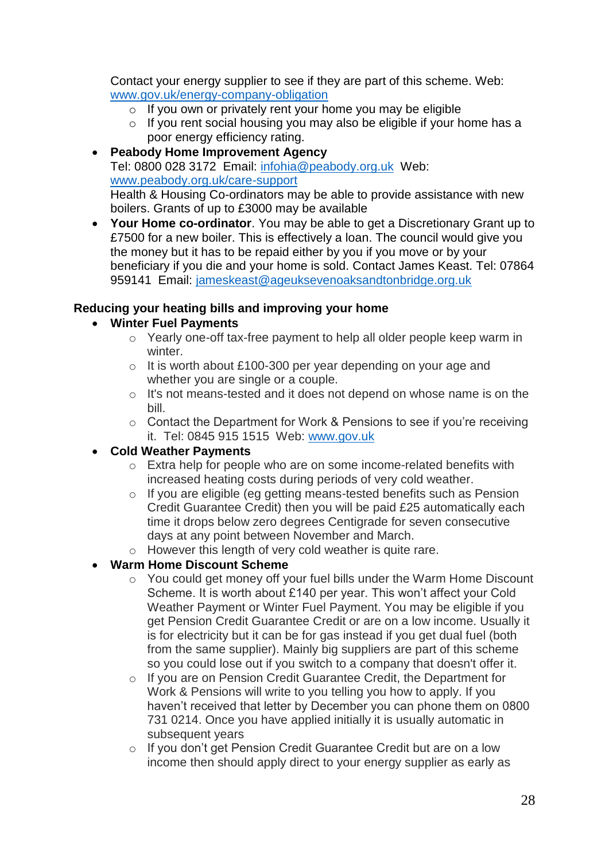Contact your energy supplier to see if they are part of this scheme. Web: [www.gov.uk/energy-company-obligation](http://www.gov.uk/energy-company-obligation)

- $\circ$  If you own or privately rent your home you may be eligible
- o If you rent social housing you may also be eligible if your home has a poor energy efficiency rating.
- **Peabody Home Improvement Agency** Tel: 0800 028 3172 Email: infohia@peabody.org.uk Web: www.peabody.org.uk/care-support Health & Housing Co-ordinators may be able to provide assistance with new boilers. Grants of up to £3000 may be available
- **Your Home co-ordinator**. You may be able to get a Discretionary Grant up to £7500 for a new boiler. This is effectively a loan. The council would give you the money but it has to be repaid either by you if you move or by your beneficiary if you die and your home is sold. Contact James Keast. Tel: 07864 959141 Email: jameskeast@ageuksevenoaksandtonbridge.org.uk

### **Reducing your heating bills and improving your home**

- **Winter Fuel Payments**
	- o Yearly one-off tax-free payment to help all older people keep warm in winter.
	- o It is worth about £100-300 per year depending on your age and whether you are single or a couple.
	- o It's not means-tested and it does not depend on whose name is on the bill.
	- o Contact the Department for Work & Pensions to see if you're receiving it. Tel: 0845 915 1515 Web: www.gov.uk

### **Cold Weather Payments**

- o Extra help for people who are on some income-related benefits with increased heating costs during periods of very cold weather.
- o If you are eligible (eg getting means-tested benefits such as Pension Credit Guarantee Credit) then you will be paid £25 automatically each time it drops below zero degrees Centigrade for seven consecutive days at any point between November and March.
- o However this length of very cold weather is quite rare.

## **Warm Home Discount Scheme**

- o You could get money off your fuel bills under the Warm Home Discount Scheme. It is worth about £140 per year. This won't affect your Cold Weather Payment or Winter Fuel Payment. You may be eligible if you get Pension Credit Guarantee Credit or are on a low income. Usually it is for electricity but it can be for gas instead if you get dual fuel (both from the same supplier). Mainly big suppliers are part of this scheme so you could lose out if you switch to a company that doesn't offer it.
- o If you are on Pension Credit Guarantee Credit, the Department for Work & Pensions will write to you telling you how to apply. If you haven't received that letter by December you can phone them on 0800 731 0214. Once you have applied initially it is usually automatic in subsequent years
- o If you don't get Pension Credit Guarantee Credit but are on a low income then should apply direct to your energy supplier as early as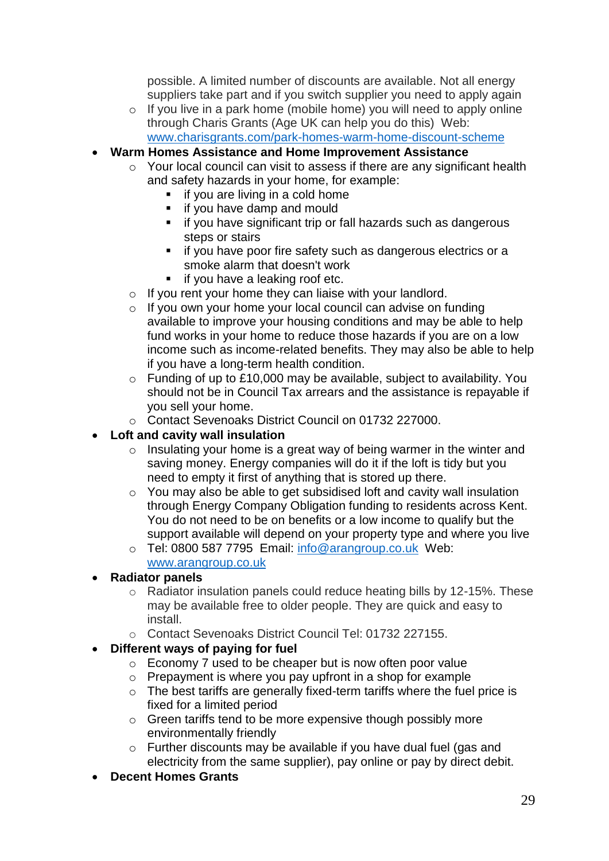possible. A limited number of discounts are available. Not all energy suppliers take part and if you switch supplier you need to apply again

- o If you live in a park home (mobile home) you will need to apply online through Charis Grants (Age UK can help you do this) Web: [www.charisgrants.com/park-homes-warm-home-discount-scheme](http://www.charisgrants.com/park-homes-warm-home-discount-scheme)
- **Warm Homes Assistance and Home Improvement Assistance**
	- o Your local council can visit to assess if there are any significant health and safety hazards in your home, for example:
		- **i** if you are living in a cold home
		- **i** if you have damp and mould
		- **i** if you have significant trip or fall hazards such as dangerous steps or stairs
		- **if you have poor fire safety such as dangerous electrics or a** smoke alarm that doesn't work
		- **if you have a leaking roof etc.**
	- $\circ$  If you rent your home they can liaise with your landlord.
	- o If you own your home your local council can advise on funding available to improve your housing conditions and may be able to help fund works in your home to reduce those hazards if you are on a low income such as income-related benefits. They may also be able to help if you have a long-term health condition.
	- $\circ$  Funding of up to £10,000 may be available, subject to availability. You should not be in Council Tax arrears and the assistance is repayable if you sell your home.
	- o Contact Sevenoaks District Council on 01732 227000.

## **Loft and cavity wall insulation**

- $\circ$  Insulating your home is a great way of being warmer in the winter and saving money. Energy companies will do it if the loft is tidy but you need to empty it first of anything that is stored up there.
- o You may also be able to get subsidised loft and cavity wall insulation through Energy Company Obligation funding to residents across Kent. You do not need to be on benefits or a low income to qualify but the support available will depend on your property type and where you live
- o Tel: 0800 587 7795 Email: [info@arangroup.co.uk](mailto:info@arangroup.co.uk) Web: [www.arangroup.co.uk](http://www.arangroup.co.uk/)

## **Radiator panels**

- o Radiator insulation panels could reduce heating bills by 12-15%. These may be available free to older people. They are quick and easy to install.
- o Contact Sevenoaks District Council Tel: 01732 227155.

## **Different ways of paying for fuel**

- o Economy 7 used to be cheaper but is now often poor value
- o Prepayment is where you pay upfront in a shop for example
- o The best tariffs are generally fixed-term tariffs where the fuel price is fixed for a limited period
- o Green tariffs tend to be more expensive though possibly more environmentally friendly
- o Further discounts may be available if you have dual fuel (gas and electricity from the same supplier), pay online or pay by direct debit.
- **Decent Homes Grants**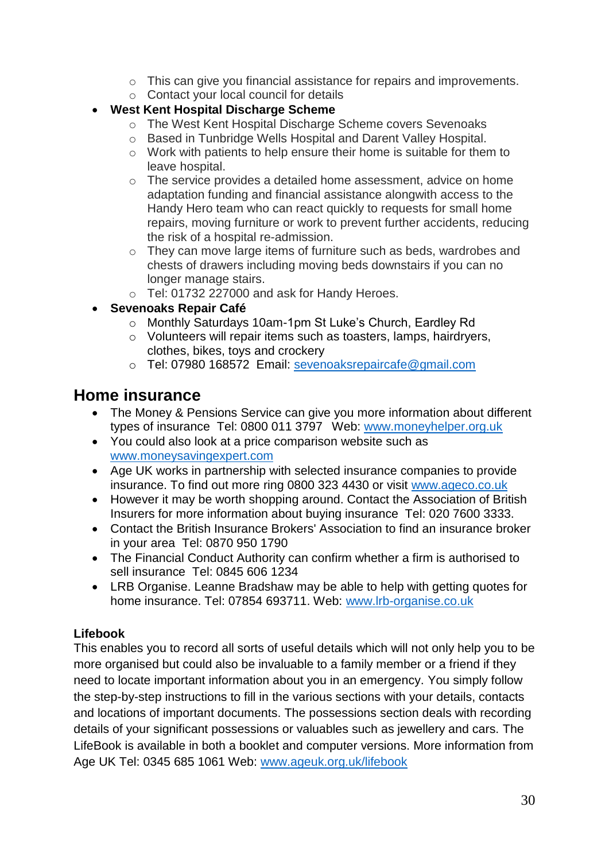- o This can give you financial assistance for repairs and improvements.
- o Contact your local council for details

## **West Kent Hospital Discharge Scheme**

- o The West Kent Hospital Discharge Scheme covers Sevenoaks
- o Based in Tunbridge Wells Hospital and Darent Valley Hospital.
- o Work with patients to help ensure their home is suitable for them to leave hospital.
- o The service provides a detailed home assessment, advice on home adaptation funding and financial assistance alongwith access to the Handy Hero team who can react quickly to requests for small home repairs, moving furniture or work to prevent further accidents, reducing the risk of a hospital re-admission.
- o They can move large items of furniture such as beds, wardrobes and chests of drawers including moving beds downstairs if you can no longer manage stairs.
- o Tel: 01732 227000 and ask for Handy Heroes.
- **Sevenoaks Repair Café**
	- o Monthly Saturdays 10am-1pm St Luke's Church, Eardley Rd
	- o Volunteers will repair items such as toasters, lamps, hairdryers, clothes, bikes, toys and crockery
	- o Tel: 07980 168572 Email: [sevenoaksrepaircafe@gmail.com](mailto:sevenoaksrepaircafe@gmail.com)

## **Home insurance**

- The Money & Pensions Service can give you more information about different types of insurance Tel: 0800 011 3797 Web: [www.moneyhelper.org.uk](http://www.moneyhelper.org.uk/)
- You could also look at a price comparison website such as www.moneysavingexpert.com
- Age UK works in partnership with selected insurance companies to provide insurance. To find out more ring 0800 323 4430 or visit [www.ageco.co.uk](http://www.ageco.co.uk/)
- However it may be worth shopping around. Contact the Association of British Insurers for more information about buying insurance Tel: 020 7600 3333.
- Contact the British Insurance Brokers' Association to find an insurance broker in your area Tel: 0870 950 1790
- The Financial Conduct Authority can confirm whether a firm is authorised to sell insurance Tel: 0845 606 1234
- LRB Organise. Leanne Bradshaw may be able to help with getting quotes for home insurance. Tel: 07854 693711. Web: [www.lrb-organise.co.uk](http://www.lrb-organise.co.uk/)

## **Lifebook**

This enables you to record all sorts of useful details which will not only help you to be more organised but could also be invaluable to a family member or a friend if they need to locate important information about you in an emergency. You simply follow the step-by-step instructions to fill in the various sections with your details, contacts and locations of important documents. The possessions section deals with recording details of your significant possessions or valuables such as jewellery and cars. The LifeBook is available in both a booklet and computer versions. More information from Age UK Tel: 0345 685 1061 Web: www.ageuk.org.uk/lifebook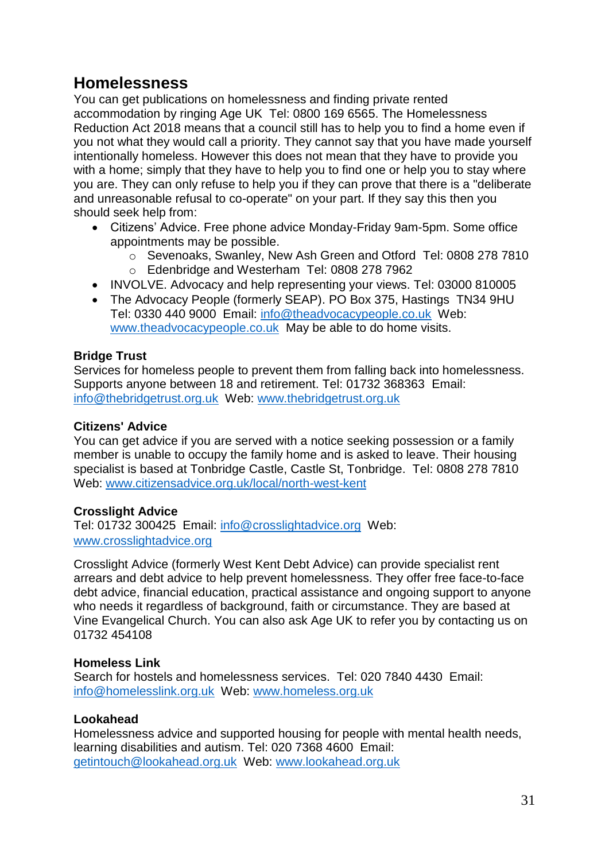## **Homelessness**

You can get publications on homelessness and finding private rented accommodation by ringing Age UK Tel: 0800 169 6565. The Homelessness Reduction Act 2018 means that a council still has to help you to find a home even if you not what they would call a priority. They cannot say that you have made yourself intentionally homeless. However this does not mean that they have to provide you with a home; simply that they have to help you to find one or help you to stay where you are. They can only refuse to help you if they can prove that there is a "deliberate and unreasonable refusal to co-operate" on your part. If they say this then you should seek help from:

- Citizens' Advice. Free phone advice Monday-Friday 9am-5pm. Some office appointments may be possible.
	- o Sevenoaks, Swanley, New Ash Green and Otford Tel: 0808 278 7810 o Edenbridge and Westerham Tel: 0808 278 7962
- INVOLVE. Advocacy and help representing your views. Tel: 03000 810005
- The Advocacy People (formerly SEAP). PO Box 375, Hastings TN34 9HU Tel: 0330 440 9000 Email: [info@theadvocacypeople.co.uk](mailto:info@theadvocacypeople.co.uk) Web: [www.theadvocacypeople.co.uk](http://www.theadvocacypeople.co.uk/) May be able to do home visits.

### **Bridge Trust**

Services for homeless people to prevent them from falling back into homelessness. Supports anyone between 18 and retirement. Tel: 01732 368363 Email: info@thebridgetrust.org.uk Web: www.thebridgetrust.org.uk

### **Citizens' Advice**

You can get advice if you are served with a notice seeking possession or a family member is unable to occupy the family home and is asked to leave. Their housing specialist is based at Tonbridge Castle, Castle St, Tonbridge. Tel: 0808 278 7810 Web: www.citizensadvice.org.uk/local/north-west-kent

### **Crosslight Advice**

Tel: 01732 300425 Email: [info@crosslightadvice.org](mailto:info@crosslightadvice.org) Web: [www.crosslightadvice.org](http://www.crosslightadvice.org/)

Crosslight Advice (formerly West Kent Debt Advice) can provide specialist rent arrears and debt advice to help prevent homelessness. They offer free face-to-face debt advice, financial education, practical assistance and ongoing support to anyone who needs it regardless of background, faith or circumstance. They are based at Vine Evangelical Church. You can also ask Age UK to refer you by contacting us on 01732 454108

### **Homeless Link**

Search for hostels and homelessness services. Tel: 020 7840 4430 Email: info@homelesslink.org.uk Web: www.homeless.org.uk

### **Lookahead**

Homelessness advice and supported housing for people with mental health needs, learning disabilities and autism. Tel: 020 7368 4600 Email: getintouch@lookahead.org.uk Web: www.lookahead.org.uk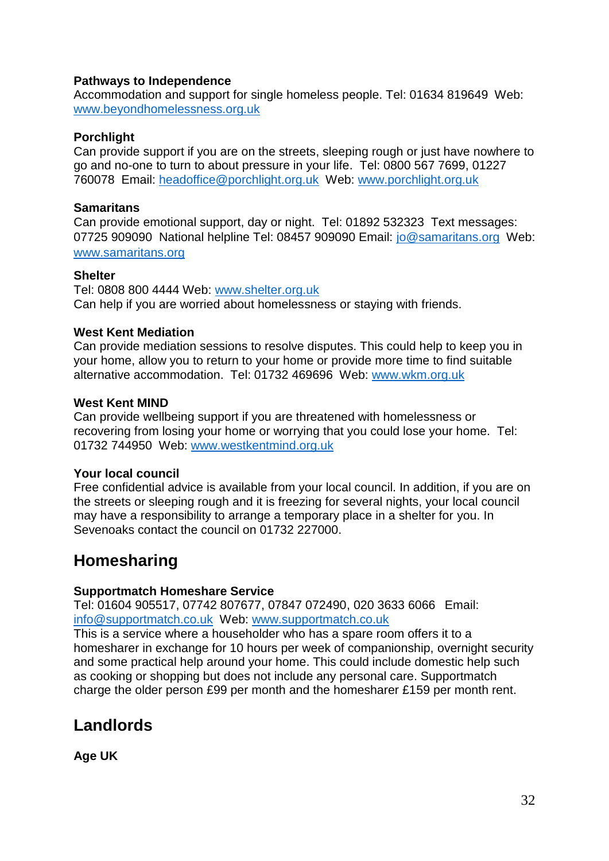### **Pathways to Independence**

Accommodation and support for single homeless people. Tel: 01634 819649 Web: [www.beyondhomelessness.org.uk](http://www.beyondhomelessness.org.uk/)

### **Porchlight**

Can provide support if you are on the streets, sleeping rough or just have nowhere to go and no-one to turn to about pressure in your life. Tel: 0800 567 7699, 01227 760078 Email: headoffice@porchlight.org.uk Web: www.porchlight.org.uk

### **Samaritans**

Can provide emotional support, day or night. Tel: 01892 532323 Text messages: 07725 909090 National helpline Tel: 08457 909090 Email: [jo@samaritans.org](mailto:jo@samaritans.org) Web: www.samaritans.org

### **Shelter**

Tel: 0808 800 4444 Web: [www.shelter.org.uk](http://www.shelter.org.uk/) Can help if you are worried about homelessness or staying with friends.

### **West Kent Mediation**

Can provide mediation sessions to resolve disputes. This could help to keep you in your home, allow you to return to your home or provide more time to find suitable alternative accommodation. Tel: 01732 469696 Web: www.wkm.org.uk

### **West Kent MIND**

Can provide wellbeing support if you are threatened with homelessness or recovering from losing your home or worrying that you could lose your home. Tel: 01732 744950 Web: www.westkentmind.org.uk

### **Your local council**

Free confidential advice is available from your local council. In addition, if you are on the streets or sleeping rough and it is freezing for several nights, your local council may have a responsibility to arrange a temporary place in a shelter for you. In Sevenoaks contact the council on 01732 227000.

## **Homesharing**

### **Supportmatch Homeshare Service**

Tel: 01604 905517, 07742 807677, 07847 072490, 020 3633 6066 Email: [info@supportmatch.co.uk](mailto:info@supportmatch.co.uk) Web: [www.supportmatch.co.uk](http://www.supportmatch.co.uk/)

This is a service where a householder who has a spare room offers it to a homesharer in exchange for 10 hours per week of companionship, overnight security and some practical help around your home. This could include domestic help such as cooking or shopping but does not include any personal care. Supportmatch charge the older person £99 per month and the homesharer £159 per month rent.

## **Landlords**

**Age UK**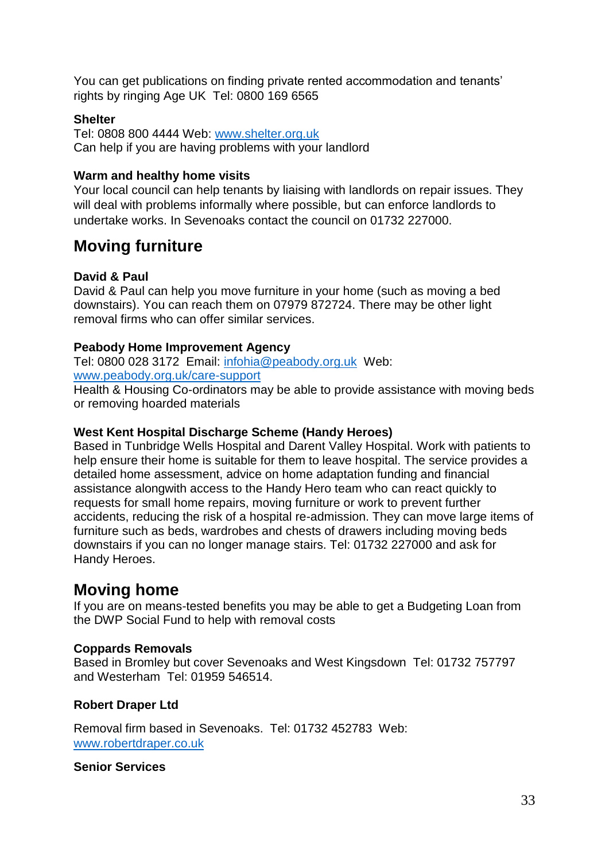You can get publications on finding private rented accommodation and tenants' rights by ringing Age UK Tel: 0800 169 6565

#### **Shelter**

Tel: 0808 800 4444 Web: [www.shelter.org.uk](http://www.shelter.org.uk/) Can help if you are having problems with your landlord

#### **Warm and healthy home visits**

Your local council can help tenants by liaising with landlords on repair issues. They will deal with problems informally where possible, but can enforce landlords to undertake works. In Sevenoaks contact the council on 01732 227000.

## **Moving furniture**

### **David & Paul**

David & Paul can help you move furniture in your home (such as moving a bed downstairs). You can reach them on 07979 872724. There may be other light removal firms who can offer similar services.

#### **Peabody Home Improvement Agency**

Tel: 0800 028 3172 Email: infohia@peabody.org.uk Web: www.peabody.org.uk/care-support

Health & Housing Co-ordinators may be able to provide assistance with moving beds or removing hoarded materials

#### **West Kent Hospital Discharge Scheme (Handy Heroes)**

Based in Tunbridge Wells Hospital and Darent Valley Hospital. Work with patients to help ensure their home is suitable for them to leave hospital. The service provides a detailed home assessment, advice on home adaptation funding and financial assistance alongwith access to the Handy Hero team who can react quickly to requests for small home repairs, moving furniture or work to prevent further accidents, reducing the risk of a hospital re-admission. They can move large items of furniture such as beds, wardrobes and chests of drawers including moving beds downstairs if you can no longer manage stairs. Tel: 01732 227000 and ask for Handy Heroes.

## **Moving home**

If you are on means-tested benefits you may be able to get a Budgeting Loan from the DWP Social Fund to help with removal costs

### **Coppards Removals**

Based in Bromley but cover Sevenoaks and West Kingsdown Tel: 01732 757797 and Westerham Tel: 01959 546514.

### **Robert Draper Ltd**

Removal firm based in Sevenoaks. Tel: 01732 452783 Web: [www.robertdraper.co.uk](http://www.robertdraper.co.uk/)

#### **Senior Services**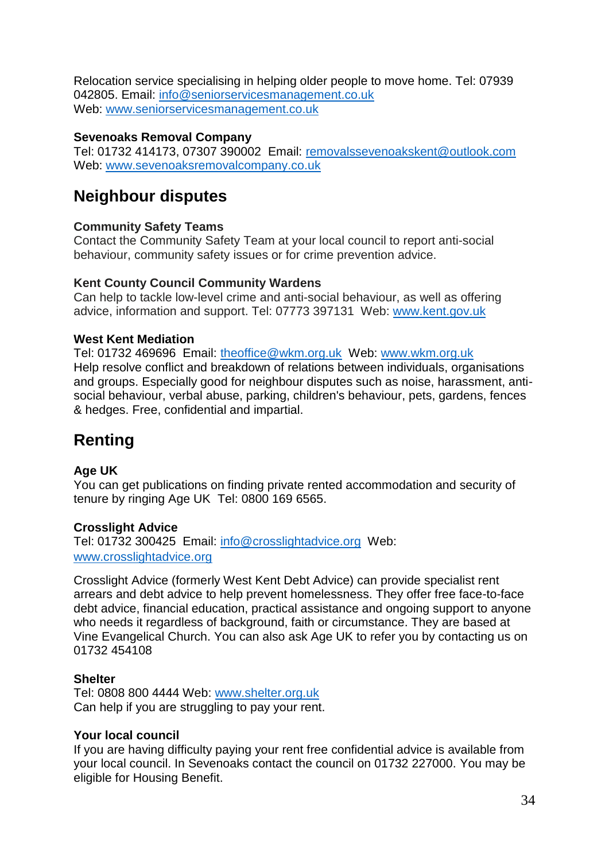Relocation service specialising in helping older people to move home. Tel: 07939 042805. Email: info@seniorservicesmanagement.co.uk Web: [www.seniorservicesmanagement.co.uk](http://www.seniorservicesmanagement.co.uk/)

### **Sevenoaks Removal Company**

Tel: 01732 414173, 07307 390002 Email: [removalssevenoakskent@outlook.com](mailto:removalssevenoakskent@outlook.com)  Web: [www.sevenoaksremovalcompany.co.uk](http://www.sevenoaksremovalcompany.co.uk/)

## **Neighbour disputes**

### **Community Safety Teams**

Contact the Community Safety Team at your local council to report anti-social behaviour, community safety issues or for crime prevention advice.

### **Kent County Council Community Wardens**

Can help to tackle low-level crime and anti-social behaviour, as well as offering advice, information and support. Tel: 07773 397131 Web: [www.kent.gov.uk](http://www.kent.gov.uk/)

### **West Kent Mediation**

Tel: 01732 469696 Email: [theoffice@wkm.org.uk](mailto:theoffice@wkm.org.uk) Web: www.wkm.org.uk Help resolve conflict and breakdown of relations between individuals, organisations and groups. Especially good for neighbour disputes such as noise, harassment, antisocial behaviour, verbal abuse, parking, children's behaviour, pets, gardens, fences & hedges. Free, confidential and impartial.

## **Renting**

### **Age UK**

You can get publications on finding private rented accommodation and security of tenure by ringing Age UK Tel: 0800 169 6565.

### **Crosslight Advice**

Tel: 01732 300425 Email: [info@crosslightadvice.org](mailto:info@crosslightadvice.org) Web: [www.crosslightadvice.org](http://www.crosslightadvice.org/)

Crosslight Advice (formerly West Kent Debt Advice) can provide specialist rent arrears and debt advice to help prevent homelessness. They offer free face-to-face debt advice, financial education, practical assistance and ongoing support to anyone who needs it regardless of background, faith or circumstance. They are based at Vine Evangelical Church. You can also ask Age UK to refer you by contacting us on 01732 454108

### **Shelter**

Tel: 0808 800 4444 Web: [www.shelter.org.uk](http://www.shelter.org.uk/) Can help if you are struggling to pay your rent.

### **Your local council**

If you are having difficulty paying your rent free confidential advice is available from your local council. In Sevenoaks contact the council on 01732 227000. You may be eligible for Housing Benefit.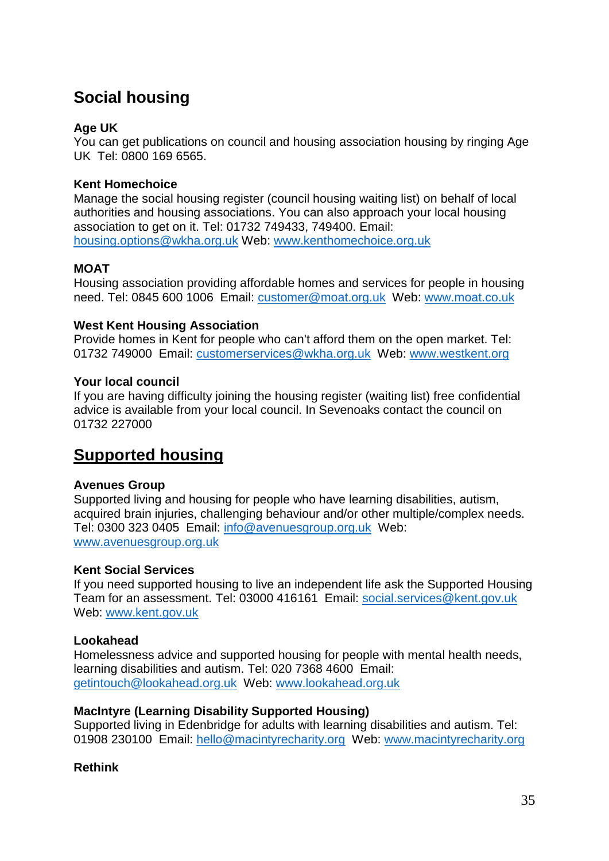## **Social housing**

### **Age UK**

You can get publications on council and housing association housing by ringing Age UK Tel: 0800 169 6565.

### **Kent Homechoice**

Manage the social housing register (council housing waiting list) on behalf of local authorities and housing associations. You can also approach your local housing association to get on it. Tel: 01732 749433, 749400. Email: [housing.options@wkha.org.uk](mailto:housing.options@wkha.org.uk) Web: www.kenthomechoice.org.uk

### **MOAT**

Housing association providing affordable homes and services for people in housing need. Tel: 0845 600 1006 Email: customer@moat.org.uk Web: www.moat.co.uk

### **West Kent Housing Association**

Provide homes in Kent for people who can't afford them on the open market. Tel: 01732 749000 Email: customerservices@wkha.org.uk Web: www.westkent.org

### **Your local council**

If you are having difficulty joining the housing register (waiting list) free confidential advice is available from your local council. In Sevenoaks contact the council on 01732 227000

## **Supported housing**

### **Avenues Group**

Supported living and housing for people who have learning disabilities, autism, acquired brain injuries, challenging behaviour and/or other multiple/complex needs. Tel: 0300 323 0405 Email: info@avenuesgroup.org.uk Web: www.avenuesgroup.org.uk

### **Kent Social Services**

If you need supported housing to live an independent life ask the Supported Housing Team for an assessment. Tel: 03000 416161 Email: social.services@kent.gov.uk Web: www.kent.gov.uk

### **Lookahead**

Homelessness advice and supported housing for people with mental health needs, learning disabilities and autism. Tel: 020 7368 4600 Email: getintouch@lookahead.org.uk Web: www.lookahead.org.uk

### **MacIntyre (Learning Disability Supported Housing)**

Supported living in Edenbridge for adults with learning disabilities and autism. Tel: 01908 230100 Email: hello@macintyrecharity.org Web: www.macintyrecharity.org

### **Rethink**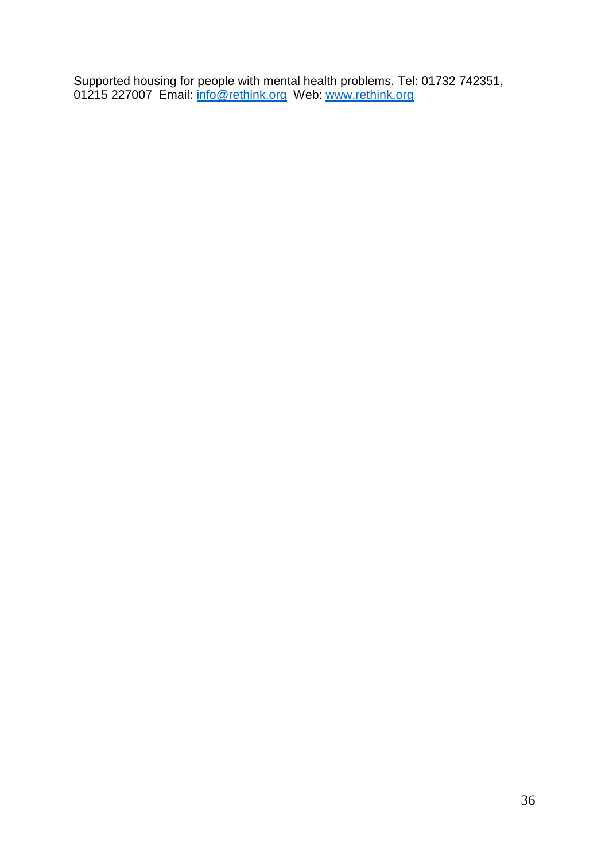Supported housing for people with mental health problems. Tel: 01732 742351, 01215 227007 Email: info@rethink.org Web: www.rethink.org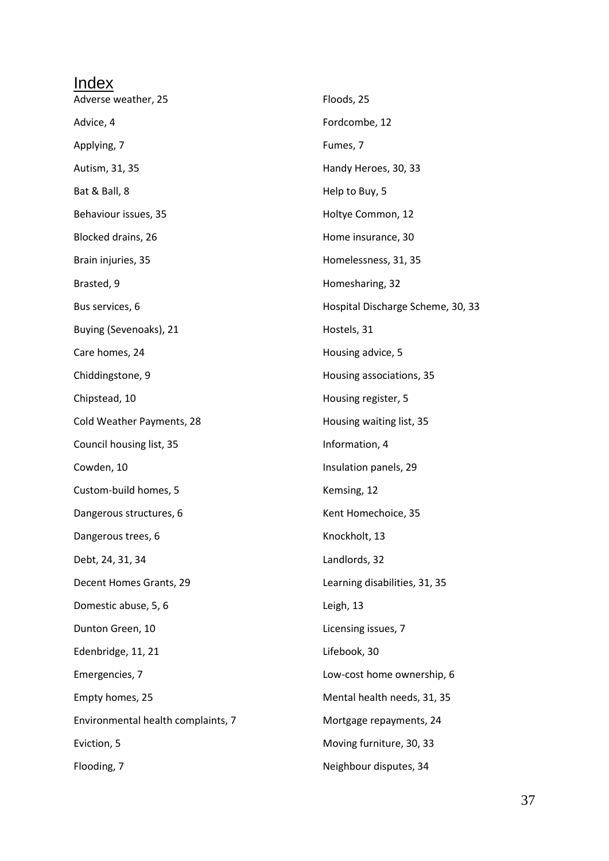| Index                              |                                   |
|------------------------------------|-----------------------------------|
| Adverse weather, 25                | Floods, 25                        |
| Advice, 4                          | Fordcombe, 12                     |
| Applying, 7                        | Fumes, 7                          |
| Autism, 31, 35                     | Handy Heroes, 30, 33              |
| Bat & Ball, 8                      | Help to Buy, 5                    |
| Behaviour issues, 35               | Holtye Common, 12                 |
| Blocked drains, 26                 | Home insurance, 30                |
| Brain injuries, 35                 | Homelessness, 31, 35              |
| Brasted, 9                         | Homesharing, 32                   |
| Bus services, 6                    | Hospital Discharge Scheme, 30, 33 |
| Buying (Sevenoaks), 21             | Hostels, 31                       |
| Care homes, 24                     | Housing advice, 5                 |
| Chiddingstone, 9                   | Housing associations, 35          |
| Chipstead, 10                      | Housing register, 5               |
| Cold Weather Payments, 28          | Housing waiting list, 35          |
| Council housing list, 35           | Information, 4                    |
| Cowden, 10                         | Insulation panels, 29             |
| Custom-build homes, 5              | Kemsing, 12                       |
| Dangerous structures, 6            | Kent Homechoice, 35               |
| Dangerous trees, 6                 | Knockholt, 13                     |
| Debt, 24, 31, 34                   | Landlords, 32                     |
| Decent Homes Grants, 29            | Learning disabilities, 31, 35     |
| Domestic abuse, 5, 6               | Leigh, 13                         |
| Dunton Green, 10                   | Licensing issues, 7               |
| Edenbridge, 11, 21                 | Lifebook, 30                      |
| Emergencies, 7                     | Low-cost home ownership, 6        |
| Empty homes, 25                    | Mental health needs, 31, 35       |
| Environmental health complaints, 7 | Mortgage repayments, 24           |
| Eviction, 5                        | Moving furniture, 30, 33          |
| Flooding, 7                        | Neighbour disputes, 34            |